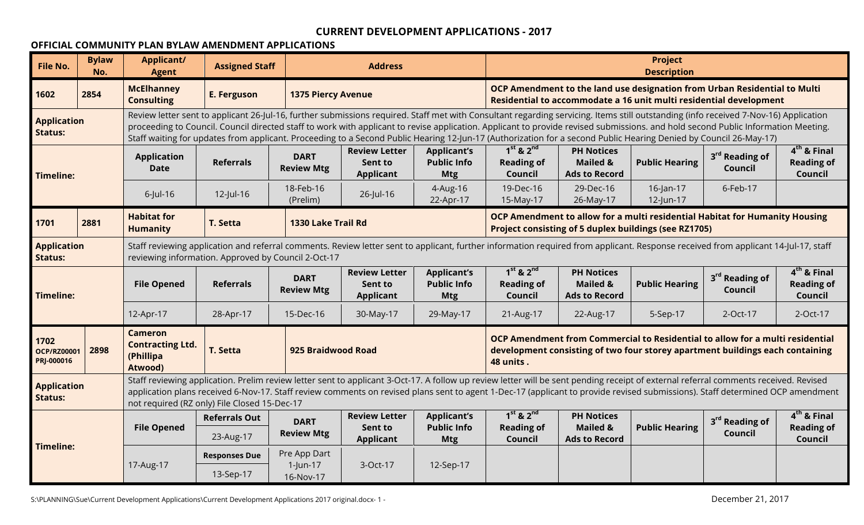### **OFFICIAL COMMUNITY PLAN BYLAW AMENDMENT APPLICATIONS**

| <b>File No.</b>                          | <b>Bylaw</b><br>No. | <b>Applicant/</b><br><b>Agent</b>                                 | <b>Assigned Staff</b>                                                                                                                                                                                                                                           |                                                                                                                                                                                                                                                                                                                                                                       | <b>Address</b>                                                                                                                                                                                                                                                                                                                                                                                                                                                                                                                                 |                                                        | <b>Project</b><br><b>Description</b><br>OCP Amendment to the land use designation from Urban Residential to Multi                                                           |                                                                  |                                                                    |                                              |                                               |
|------------------------------------------|---------------------|-------------------------------------------------------------------|-----------------------------------------------------------------------------------------------------------------------------------------------------------------------------------------------------------------------------------------------------------------|-----------------------------------------------------------------------------------------------------------------------------------------------------------------------------------------------------------------------------------------------------------------------------------------------------------------------------------------------------------------------|------------------------------------------------------------------------------------------------------------------------------------------------------------------------------------------------------------------------------------------------------------------------------------------------------------------------------------------------------------------------------------------------------------------------------------------------------------------------------------------------------------------------------------------------|--------------------------------------------------------|-----------------------------------------------------------------------------------------------------------------------------------------------------------------------------|------------------------------------------------------------------|--------------------------------------------------------------------|----------------------------------------------|-----------------------------------------------|
| 1602                                     | 2854                | <b>McElhanney</b><br><b>Consulting</b>                            | E. Ferguson                                                                                                                                                                                                                                                     | <b>1375 Piercy Avenue</b>                                                                                                                                                                                                                                                                                                                                             |                                                                                                                                                                                                                                                                                                                                                                                                                                                                                                                                                |                                                        |                                                                                                                                                                             |                                                                  | Residential to accommodate a 16 unit multi residential development |                                              |                                               |
| <b>Application</b><br><b>Status:</b>     |                     |                                                                   |                                                                                                                                                                                                                                                                 |                                                                                                                                                                                                                                                                                                                                                                       | Review letter sent to applicant 26-Jul-16, further submissions required. Staff met with Consultant regarding servicing. Items still outstanding (info received 7-Nov-16) Application<br>proceeding to Council. Council directed staff to work with applicant to revise application. Applicant to provide revised submissions. and hold second Public Information Meeting.<br>Staff waiting for updates from applicant. Proceeding to a Second Public Hearing 12-Jun-17 (Authorization for a second Public Hearing Denied by Council 26-May-17) |                                                        |                                                                                                                                                                             |                                                                  |                                                                    |                                              |                                               |
| <b>Timeline:</b>                         |                     | <b>Application</b><br><b>Date</b>                                 | <b>Referrals</b>                                                                                                                                                                                                                                                | <b>DART</b><br><b>Review Mtg</b>                                                                                                                                                                                                                                                                                                                                      | <b>Review Letter</b><br>Sent to<br><b>Applicant</b>                                                                                                                                                                                                                                                                                                                                                                                                                                                                                            | <b>Applicant's</b><br><b>Public Info</b><br><b>Mtg</b> | $1st$ & $2nd$<br><b>Reading of</b><br>Council                                                                                                                               | <b>PH Notices</b><br><b>Mailed &amp;</b><br><b>Ads to Record</b> | <b>Public Hearing</b>                                              | 3 <sup>rd</sup> Reading of<br>Council        | $4th$ & Final<br><b>Reading of</b><br>Council |
|                                          |                     | $6$ -Jul-16                                                       | 12-Jul-16                                                                                                                                                                                                                                                       | 18-Feb-16<br>(Prelim)                                                                                                                                                                                                                                                                                                                                                 | 26-Jul-16                                                                                                                                                                                                                                                                                                                                                                                                                                                                                                                                      | 4-Aug-16<br>22-Apr-17                                  | 19-Dec-16<br>6-Feb-17<br>29-Dec-16<br>16-Jan-17<br>12-Jun-17<br>15-May-17<br>26-May-17                                                                                      |                                                                  |                                                                    |                                              |                                               |
| 1701                                     | 2881                | <b>Habitat for</b><br><b>Humanity</b>                             | T. Setta                                                                                                                                                                                                                                                        |                                                                                                                                                                                                                                                                                                                                                                       |                                                                                                                                                                                                                                                                                                                                                                                                                                                                                                                                                |                                                        | <b>OCP Amendment to allow for a multi residential Habitat for Humanity Housing</b><br><b>Project consisting of 5 duplex buildings (see RZ1705)</b>                          |                                                                  |                                                                    |                                              |                                               |
| <b>Application</b><br><b>Status:</b>     |                     |                                                                   | 1330 Lake Trail Rd<br>Staff reviewing application and referral comments. Review letter sent to applicant, further information required from applicant. Response received from applicant 14-Jul-17, staff<br>reviewing information. Approved by Council 2-Oct-17 |                                                                                                                                                                                                                                                                                                                                                                       |                                                                                                                                                                                                                                                                                                                                                                                                                                                                                                                                                |                                                        |                                                                                                                                                                             |                                                                  |                                                                    |                                              |                                               |
| <b>Timeline:</b>                         |                     | <b>File Opened</b>                                                | <b>Referrals</b>                                                                                                                                                                                                                                                | <b>DART</b><br><b>Review Mtg</b>                                                                                                                                                                                                                                                                                                                                      | <b>Review Letter</b><br>Sent to<br><b>Applicant</b>                                                                                                                                                                                                                                                                                                                                                                                                                                                                                            | <b>Applicant's</b><br><b>Public Info</b><br><b>Mtg</b> | $1st$ & $2nd$<br><b>Reading of</b><br>Council                                                                                                                               | <b>PH Notices</b><br><b>Mailed &amp;</b><br><b>Ads to Record</b> | <b>Public Hearing</b>                                              | 3 <sup>rd</sup> Reading of<br><b>Council</b> | $4th$ & Final<br><b>Reading of</b><br>Council |
|                                          |                     | 12-Apr-17                                                         | 28-Apr-17                                                                                                                                                                                                                                                       | 15-Dec-16                                                                                                                                                                                                                                                                                                                                                             | 30-May-17                                                                                                                                                                                                                                                                                                                                                                                                                                                                                                                                      | 29-May-17                                              | 21-Aug-17                                                                                                                                                                   | 22-Aug-17                                                        | 5-Sep-17                                                           | 2-Oct-17                                     | 2-Oct-17                                      |
| 1702<br><b>OCP/RZ00001</b><br>PRJ-000016 | 2898                | <b>Cameron</b><br><b>Contracting Ltd.</b><br>(Phillipa<br>Atwood) | T. Setta                                                                                                                                                                                                                                                        | 925 Braidwood Road                                                                                                                                                                                                                                                                                                                                                    |                                                                                                                                                                                                                                                                                                                                                                                                                                                                                                                                                |                                                        | OCP Amendment from Commercial to Residential to allow for a multi residential<br>development consisting of two four storey apartment buildings each containing<br>48 units. |                                                                  |                                                                    |                                              |                                               |
| <b>Application</b><br><b>Status:</b>     |                     |                                                                   | not required (RZ only) File Closed 15-Dec-17                                                                                                                                                                                                                    | Staff reviewing application. Prelim review letter sent to applicant 3-Oct-17. A follow up review letter will be sent pending receipt of external referral comments received. Revised<br>application plans received 6-Nov-17. Staff review comments on revised plans sent to agent 1-Dec-17 (applicant to provide revised submissions). Staff determined OCP amendment |                                                                                                                                                                                                                                                                                                                                                                                                                                                                                                                                                |                                                        |                                                                                                                                                                             |                                                                  |                                                                    |                                              |                                               |
|                                          |                     | <b>File Opened</b>                                                | <b>Referrals Out</b>                                                                                                                                                                                                                                            | <b>DART</b>                                                                                                                                                                                                                                                                                                                                                           | <b>Review Letter</b><br>Sent to                                                                                                                                                                                                                                                                                                                                                                                                                                                                                                                | <b>Applicant's</b><br><b>Public Info</b>               | $1st$ & $2nd$<br><b>Reading of</b>                                                                                                                                          | <b>PH Notices</b><br><b>Mailed &amp;</b>                         | <b>Public Hearing</b>                                              | 3 <sup>rd</sup> Reading of                   | $4th$ & Final<br><b>Reading of</b>            |
| <b>Timeline:</b>                         |                     |                                                                   | 23-Aug-17                                                                                                                                                                                                                                                       | <b>Review Mtg</b>                                                                                                                                                                                                                                                                                                                                                     | <b>Applicant</b>                                                                                                                                                                                                                                                                                                                                                                                                                                                                                                                               | <b>Mtg</b>                                             | Council                                                                                                                                                                     | <b>Ads to Record</b>                                             |                                                                    | Council                                      | Council                                       |
|                                          |                     |                                                                   | <b>Responses Due</b>                                                                                                                                                                                                                                            | Pre App Dart                                                                                                                                                                                                                                                                                                                                                          |                                                                                                                                                                                                                                                                                                                                                                                                                                                                                                                                                |                                                        |                                                                                                                                                                             |                                                                  |                                                                    |                                              |                                               |
|                                          |                     | 17-Aug-17                                                         | 13-Sep-17                                                                                                                                                                                                                                                       | $1$ -Jun-17<br>16-Nov-17                                                                                                                                                                                                                                                                                                                                              | 3-Oct-17                                                                                                                                                                                                                                                                                                                                                                                                                                                                                                                                       | 12-Sep-17                                              |                                                                                                                                                                             |                                                                  |                                                                    |                                              |                                               |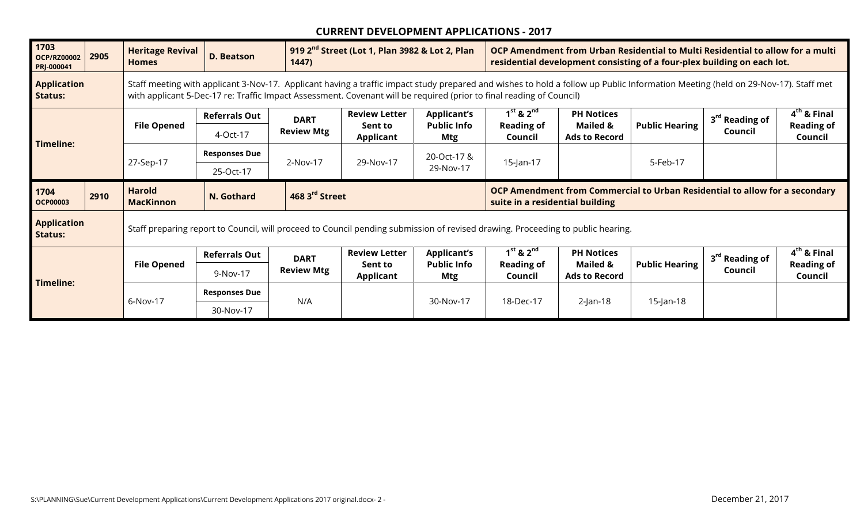| 1703<br><b>OCP/RZ00002</b><br>PRJ-000041 | 2905                                                                                                                                                                                                                                                                                                                                                   | <b>Heritage Revival</b><br><b>Homes</b> | <b>D. Beatson</b>                                                                                                               | 1447)             | 919 2 <sup>nd</sup> Street (Lot 1, Plan 3982 & Lot 2, Plan |                                  | OCP Amendment from Urban Residential to Multi Residential to allow for a multi<br>residential development consisting of a four-plex building on each lot. |                                  |                                                                                    |                            |                              |
|------------------------------------------|--------------------------------------------------------------------------------------------------------------------------------------------------------------------------------------------------------------------------------------------------------------------------------------------------------------------------------------------------------|-----------------------------------------|---------------------------------------------------------------------------------------------------------------------------------|-------------------|------------------------------------------------------------|----------------------------------|-----------------------------------------------------------------------------------------------------------------------------------------------------------|----------------------------------|------------------------------------------------------------------------------------|----------------------------|------------------------------|
| <b>Application</b><br><b>Status:</b>     | Staff meeting with applicant 3-Nov-17. Applicant having a traffic impact study prepared and wishes to hold a follow up Public Information Meeting (held on 29-Nov-17). Staff met<br>with applicant 5-Dec-17 re: Traffic Impact Assessment. Covenant will be required (prior to final reading of Council)<br><b>Referrals Out</b><br><b>File Opened</b> |                                         |                                                                                                                                 |                   |                                                            |                                  |                                                                                                                                                           |                                  |                                                                                    |                            |                              |
|                                          |                                                                                                                                                                                                                                                                                                                                                        |                                         |                                                                                                                                 | <b>DART</b>       | <b>Review Letter</b>                                       | <b>Applicant's</b>               | $1st$ & $2nd$                                                                                                                                             | <b>PH Notices</b>                |                                                                                    | 3 <sup>rd</sup> Reading of | $4th$ & Final                |
|                                          |                                                                                                                                                                                                                                                                                                                                                        |                                         | 4-Oct-17                                                                                                                        | <b>Review Mtg</b> | Sent to<br><b>Applicant</b>                                | <b>Public Info</b><br><b>Mtg</b> | <b>Reading of</b><br>Council                                                                                                                              | Mailed &<br><b>Ads to Record</b> | <b>Public Hearing</b>                                                              | Council                    | <b>Reading of</b><br>Council |
| Timeline:                                |                                                                                                                                                                                                                                                                                                                                                        |                                         | <b>Responses Due</b>                                                                                                            |                   |                                                            | 20-Oct-17 &                      |                                                                                                                                                           |                                  |                                                                                    |                            |                              |
|                                          |                                                                                                                                                                                                                                                                                                                                                        | 27-Sep-17                               | 25-Oct-17                                                                                                                       | 2-Nov-17          | 29-Nov-17                                                  | 29-Nov-17                        | 15-Jan-17<br>5-Feb-17                                                                                                                                     |                                  |                                                                                    |                            |                              |
|                                          |                                                                                                                                                                                                                                                                                                                                                        |                                         |                                                                                                                                 |                   | 468 3rd Street                                             |                                  |                                                                                                                                                           |                                  |                                                                                    |                            |                              |
| 1704<br><b>OCP00003</b>                  | 2910                                                                                                                                                                                                                                                                                                                                                   | <b>Harold</b><br><b>MacKinnon</b>       | N. Gothard                                                                                                                      |                   |                                                            |                                  | suite in a residential building                                                                                                                           |                                  | <b>OCP Amendment from Commercial to Urban Residential to allow for a secondary</b> |                            |                              |
| <b>Application</b><br><b>Status:</b>     |                                                                                                                                                                                                                                                                                                                                                        |                                         | Staff preparing report to Council, will proceed to Council pending submission of revised drawing. Proceeding to public hearing. |                   |                                                            |                                  |                                                                                                                                                           |                                  |                                                                                    |                            |                              |
|                                          |                                                                                                                                                                                                                                                                                                                                                        |                                         | <b>Referrals Out</b>                                                                                                            | <b>DART</b>       | <b>Review Letter</b>                                       | <b>Applicant's</b>               | $1st$ & $2nd$                                                                                                                                             | <b>PH Notices</b>                |                                                                                    | 3 <sup>rd</sup> Reading of | $4th$ & Final                |
|                                          |                                                                                                                                                                                                                                                                                                                                                        | <b>File Opened</b>                      | 9-Nov-17                                                                                                                        | <b>Review Mtg</b> | Sent to<br>Applicant                                       | <b>Public Info</b><br><b>Mtg</b> | <b>Reading of</b><br>Council                                                                                                                              | Mailed &<br><b>Ads to Record</b> | <b>Public Hearing</b>                                                              | Council                    | <b>Reading of</b><br>Council |
| Timeline:                                |                                                                                                                                                                                                                                                                                                                                                        | 6-Nov-17                                | <b>Responses Due</b>                                                                                                            | N/A               |                                                            | 30-Nov-17                        | 18-Dec-17                                                                                                                                                 | $2$ -Jan-18                      | $15$ -Jan-18                                                                       |                            |                              |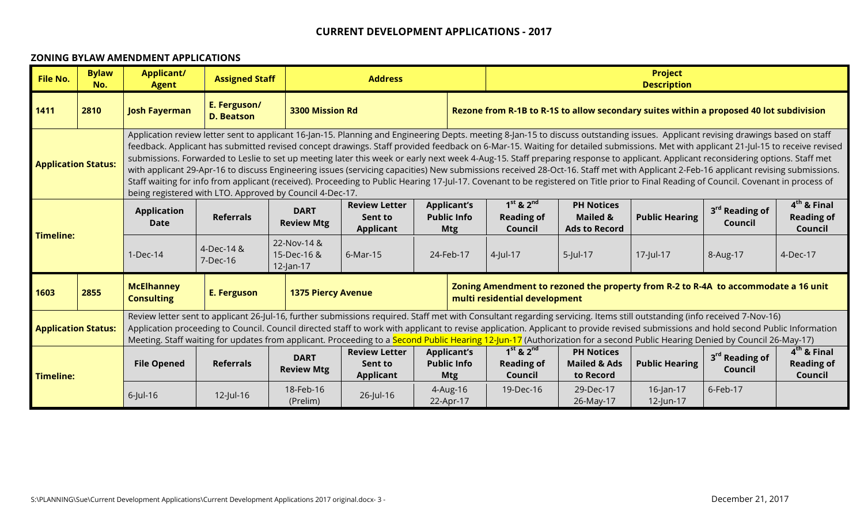#### **ZONING BYLAW AMENDMENT APPLICATIONS**

| <b>File No.</b>                                                                                                                                                                                                                                                                                                                                                                                                                                                                                                                                                             | <b>Bylaw</b><br>No. | <b>Applicant/</b><br><b>Agent</b>      | <b>Assigned Staff</b>                                    |                                            | <b>Address</b>                                                                                                                                                                                                                                                                                                                                                                                                                                                                                                                                                                                                                                                                                                                                                                                                                                                                                                                                                                                               |                                                                                                                     |  |                                                     |                                                                  | <b>Project</b><br><b>Description</b>                                                    |                                       |                                               |
|-----------------------------------------------------------------------------------------------------------------------------------------------------------------------------------------------------------------------------------------------------------------------------------------------------------------------------------------------------------------------------------------------------------------------------------------------------------------------------------------------------------------------------------------------------------------------------|---------------------|----------------------------------------|----------------------------------------------------------|--------------------------------------------|--------------------------------------------------------------------------------------------------------------------------------------------------------------------------------------------------------------------------------------------------------------------------------------------------------------------------------------------------------------------------------------------------------------------------------------------------------------------------------------------------------------------------------------------------------------------------------------------------------------------------------------------------------------------------------------------------------------------------------------------------------------------------------------------------------------------------------------------------------------------------------------------------------------------------------------------------------------------------------------------------------------|---------------------------------------------------------------------------------------------------------------------|--|-----------------------------------------------------|------------------------------------------------------------------|-----------------------------------------------------------------------------------------|---------------------------------------|-----------------------------------------------|
| 1411                                                                                                                                                                                                                                                                                                                                                                                                                                                                                                                                                                        | 2810                | <b>Josh Fayerman</b>                   | E. Ferguson/<br><b>D. Beatson</b>                        | <b>3300 Mission Rd</b>                     |                                                                                                                                                                                                                                                                                                                                                                                                                                                                                                                                                                                                                                                                                                                                                                                                                                                                                                                                                                                                              |                                                                                                                     |  |                                                     |                                                                  | Rezone from R-1B to R-1S to allow secondary suites within a proposed 40 lot subdivision |                                       |                                               |
| <b>Application Status:</b>                                                                                                                                                                                                                                                                                                                                                                                                                                                                                                                                                  |                     |                                        | being registered with LTO. Approved by Council 4-Dec-17. |                                            | Application review letter sent to applicant 16-Jan-15. Planning and Engineering Depts. meeting 8-Jan-15 to discuss outstanding issues. Applicant revising drawings based on staff<br>feedback. Applicant has submitted revised concept drawings. Staff provided feedback on 6-Mar-15. Waiting for detailed submissions. Met with applicant 21-Jul-15 to receive revised<br>submissions. Forwarded to Leslie to set up meeting later this week or early next week 4-Aug-15. Staff preparing response to applicant. Applicant reconsidering options. Staff met<br>with applicant 29-Apr-16 to discuss Engineering issues (servicing capacities) New submissions received 28-Oct-16. Staff met with Applicant 2-Feb-16 applicant revising submissions.<br>Staff waiting for info from applicant (received). Proceeding to Public Hearing 17-Jul-17. Covenant to be registered on Title prior to Final Reading of Council. Covenant in process of<br>$1st$ & $2nd$<br><b>Applicant's</b><br><b>Review Letter</b> |                                                                                                                     |  |                                                     |                                                                  |                                                                                         |                                       |                                               |
|                                                                                                                                                                                                                                                                                                                                                                                                                                                                                                                                                                             |                     | <b>Application</b><br><b>Date</b>      | <b>Referrals</b>                                         | <b>DART</b><br><b>Review Mtg</b>           | Sent to<br><b>Applicant</b>                                                                                                                                                                                                                                                                                                                                                                                                                                                                                                                                                                                                                                                                                                                                                                                                                                                                                                                                                                                  | <b>Public Info</b><br><b>Mtg</b>                                                                                    |  | <b>Reading of</b><br>Council                        | <b>PH Notices</b><br><b>Mailed &amp;</b><br><b>Ads to Record</b> | <b>Public Hearing</b>                                                                   | 3 <sup>rd</sup> Reading of<br>Council | $4th$ & Final<br><b>Reading of</b><br>Council |
| <b>Timeline:</b>                                                                                                                                                                                                                                                                                                                                                                                                                                                                                                                                                            |                     | $1-Dec-14$                             | 4-Dec-14 &<br>7-Dec-16                                   | 22-Nov-14 &<br>15-Dec-16 &<br>$12$ -Jan-17 | 6-Mar-15                                                                                                                                                                                                                                                                                                                                                                                                                                                                                                                                                                                                                                                                                                                                                                                                                                                                                                                                                                                                     | 24-Feb-17                                                                                                           |  | 4-Jul-17                                            | $5$ -Jul-17                                                      | 17-Jul-17                                                                               | 8-Aug-17                              | 4-Dec-17                                      |
| 1603                                                                                                                                                                                                                                                                                                                                                                                                                                                                                                                                                                        | 2855                | <b>McElhanney</b><br><b>Consulting</b> | E. Ferguson                                              | <b>1375 Piercy Avenue</b>                  |                                                                                                                                                                                                                                                                                                                                                                                                                                                                                                                                                                                                                                                                                                                                                                                                                                                                                                                                                                                                              | Zoning Amendment to rezoned the property from R-2 to R-4A to accommodate a 16 unit<br>multi residential development |  |                                                     |                                                                  |                                                                                         |                                       |                                               |
| Review letter sent to applicant 26-Jul-16, further submissions required. Staff met with Consultant regarding servicing. Items still outstanding (info received 7-Nov-16)<br>Application proceeding to Council. Council directed staff to work with applicant to revise application. Applicant to provide revised submissions and hold second Public Information<br><b>Application Status:</b><br>Meeting. Staff waiting for updates from applicant. Proceeding to a Second Public Hearing 12-Jun-17 (Authorization for a second Public Hearing Denied by Council 26-May-17) |                     |                                        |                                                          |                                            |                                                                                                                                                                                                                                                                                                                                                                                                                                                                                                                                                                                                                                                                                                                                                                                                                                                                                                                                                                                                              |                                                                                                                     |  |                                                     |                                                                  |                                                                                         |                                       |                                               |
| <b>Timeline:</b>                                                                                                                                                                                                                                                                                                                                                                                                                                                                                                                                                            |                     | <b>File Opened</b>                     | <b>Referrals</b>                                         | <b>DART</b><br><b>Review Mtg</b>           | <b>Review Letter</b><br><b>Applicant's</b><br><b>Public Info</b><br>Sent to<br><b>Applicant</b><br><b>Mtg</b>                                                                                                                                                                                                                                                                                                                                                                                                                                                                                                                                                                                                                                                                                                                                                                                                                                                                                                |                                                                                                                     |  | $1^{st}$ & $2^{nd}$<br><b>Reading of</b><br>Council | <b>PH Notices</b><br><b>Mailed &amp; Ads</b><br>to Record        | <b>Public Hearing</b>                                                                   | 3 <sup>rd</sup> Reading of<br>Council | $4th$ & Final<br><b>Reading of</b><br>Council |
|                                                                                                                                                                                                                                                                                                                                                                                                                                                                                                                                                                             |                     | $6$ -Jul-16                            | $12$ -Jul-16                                             | 18-Feb-16<br>(Prelim)                      | 26-Jul-16                                                                                                                                                                                                                                                                                                                                                                                                                                                                                                                                                                                                                                                                                                                                                                                                                                                                                                                                                                                                    | 4-Aug-16<br>22-Apr-17                                                                                               |  | 19-Dec-16                                           | 29-Dec-17<br>26-May-17                                           | $16$ -Jan-17<br>12-Jun-17                                                               | 6-Feb-17                              |                                               |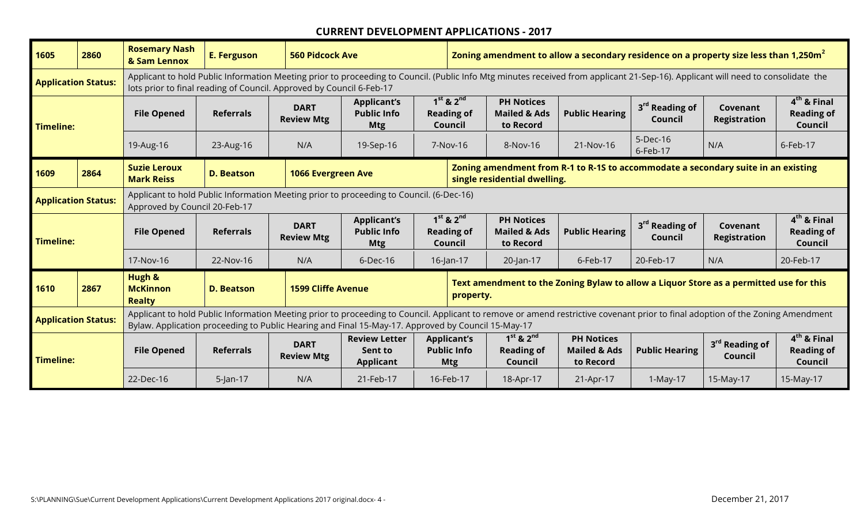| 1605                                                                                                                                                                                                                                                                                                                   | 2860                                                                                                                                                                                                                                                                                                                                                                                                                                                                                                                                     | <b>Rosemary Nash</b><br>& Sam Lennox                                                                                                                                                                                                                                                                | <b>E. Ferguson</b> | <b>560 Pidcock Ave</b>           |                                                        | Zoning amendment to allow a secondary residence on a property size less than 1,250m <sup>2</sup> |                                                           |                                               |                                       |                                 |                                               |  |  |
|------------------------------------------------------------------------------------------------------------------------------------------------------------------------------------------------------------------------------------------------------------------------------------------------------------------------|------------------------------------------------------------------------------------------------------------------------------------------------------------------------------------------------------------------------------------------------------------------------------------------------------------------------------------------------------------------------------------------------------------------------------------------------------------------------------------------------------------------------------------------|-----------------------------------------------------------------------------------------------------------------------------------------------------------------------------------------------------------------------------------------------------------------------------------------------------|--------------------|----------------------------------|--------------------------------------------------------|--------------------------------------------------------------------------------------------------|-----------------------------------------------------------|-----------------------------------------------|---------------------------------------|---------------------------------|-----------------------------------------------|--|--|
|                                                                                                                                                                                                                                                                                                                        | Applicant to hold Public Information Meeting prior to proceeding to Council. (Public Info Mtg minutes received from applicant 21-Sep-16). Applicant will need to consolidate the<br><b>Application Status:</b><br>lots prior to final reading of Council. Approved by Council 6-Feb-17<br>$1st$ & $2nd$<br><b>PH Notices</b><br><b>Applicant's</b><br>3 <sup>rd</sup> Reading of<br><b>DART</b><br><b>Public Hearing</b><br><b>Public Info</b><br><b>Reading of</b><br><b>Mailed &amp; Ads</b><br><b>File Opened</b><br><b>Referrals</b> |                                                                                                                                                                                                                                                                                                     |                    |                                  |                                                        |                                                                                                  |                                                           |                                               |                                       |                                 |                                               |  |  |
| <b>Timeline:</b>                                                                                                                                                                                                                                                                                                       |                                                                                                                                                                                                                                                                                                                                                                                                                                                                                                                                          |                                                                                                                                                                                                                                                                                                     |                    | <b>Review Mtg</b>                | <b>Mtg</b>                                             | Council                                                                                          | to Record                                                 |                                               | <b>Council</b>                        | Covenant<br><b>Registration</b> | $4th$ & Final<br><b>Reading of</b><br>Council |  |  |
|                                                                                                                                                                                                                                                                                                                        |                                                                                                                                                                                                                                                                                                                                                                                                                                                                                                                                          | 19-Aug-16                                                                                                                                                                                                                                                                                           | 23-Aug-16          | N/A                              | 19-Sep-16                                              | 5-Dec-16<br>N/A<br>6-Feb-17<br>21-Nov-16<br>7-Nov-16<br>8-Nov-16<br>6-Feb-17                     |                                                           |                                               |                                       |                                 |                                               |  |  |
| 1609                                                                                                                                                                                                                                                                                                                   | 2864                                                                                                                                                                                                                                                                                                                                                                                                                                                                                                                                     | Zoning amendment from R-1 to R-1S to accommodate a secondary suite in an existing<br><b>Suzie Leroux</b><br>1066 Evergreen Ave<br><b>D. Beatson</b><br>single residential dwelling.<br><b>Mark Reiss</b><br>Applicant to hold Public Information Meeting prior to proceeding to Council. (6-Dec-16) |                    |                                  |                                                        |                                                                                                  |                                                           |                                               |                                       |                                 |                                               |  |  |
| <b>Application Status:</b>                                                                                                                                                                                                                                                                                             |                                                                                                                                                                                                                                                                                                                                                                                                                                                                                                                                          | Approved by Council 20-Feb-17                                                                                                                                                                                                                                                                       |                    |                                  |                                                        |                                                                                                  |                                                           |                                               |                                       |                                 |                                               |  |  |
| Timeline:                                                                                                                                                                                                                                                                                                              |                                                                                                                                                                                                                                                                                                                                                                                                                                                                                                                                          | <b>File Opened</b>                                                                                                                                                                                                                                                                                  | <b>Referrals</b>   | <b>DART</b><br><b>Review Mtg</b> | <b>Applicant's</b><br><b>Public Info</b><br><b>Mtg</b> | $1st$ & $2nd$<br><b>Reading of</b><br>Council                                                    | <b>PH Notices</b><br><b>Mailed &amp; Ads</b><br>to Record | <b>Public Hearing</b>                         | 3 <sup>rd</sup> Reading of<br>Council | Covenant<br><b>Registration</b> | $4th$ & Final<br><b>Reading of</b><br>Council |  |  |
|                                                                                                                                                                                                                                                                                                                        |                                                                                                                                                                                                                                                                                                                                                                                                                                                                                                                                          | 17-Nov-16                                                                                                                                                                                                                                                                                           | 22-Nov-16          | N/A                              | $6$ -Dec-16                                            | $16$ -Jan-17                                                                                     | 20-Jan-17                                                 | 6-Feb-17                                      | 20-Feb-17                             | N/A                             | 20-Feb-17                                     |  |  |
| 1610                                                                                                                                                                                                                                                                                                                   | Hugh &<br>Text amendment to the Zoning Bylaw to allow a Liquor Store as a permitted use for this<br>2867<br><b>McKinnon</b><br><b>D. Beatson</b><br><b>1599 Cliffe Avenue</b><br>property.<br><b>Realty</b>                                                                                                                                                                                                                                                                                                                              |                                                                                                                                                                                                                                                                                                     |                    |                                  |                                                        |                                                                                                  |                                                           |                                               |                                       |                                 |                                               |  |  |
| <b>Application Status:</b>                                                                                                                                                                                                                                                                                             |                                                                                                                                                                                                                                                                                                                                                                                                                                                                                                                                          | Applicant to hold Public Information Meeting prior to proceeding to Council. Applicant to remove or amend restrictive covenant prior to final adoption of the Zoning Amendment<br>Bylaw. Application proceeding to Public Hearing and Final 15-May-17. Approved by Council 15-May-17                |                    |                                  |                                                        |                                                                                                  |                                                           |                                               |                                       |                                 |                                               |  |  |
| $1st$ & $2nd$<br><b>PH Notices</b><br><b>Review Letter</b><br><b>Applicant's</b><br><b>DART</b><br><b>Public Info</b><br><b>Reading of</b><br><b>Mailed &amp; Ads</b><br><b>File Opened</b><br><b>Referrals</b><br>Sent to<br><b>Review Mtg</b><br>Timeline:<br>Council<br>to Record<br><b>Applicant</b><br><b>Mtg</b> |                                                                                                                                                                                                                                                                                                                                                                                                                                                                                                                                          |                                                                                                                                                                                                                                                                                                     |                    |                                  |                                                        | <b>Public Hearing</b>                                                                            | 3 <sup>rd</sup> Reading of<br>Council                     | $4th$ & Final<br><b>Reading of</b><br>Council |                                       |                                 |                                               |  |  |
|                                                                                                                                                                                                                                                                                                                        |                                                                                                                                                                                                                                                                                                                                                                                                                                                                                                                                          | 22-Dec-16                                                                                                                                                                                                                                                                                           | $5$ -Jan-17        | N/A                              | 21-Feb-17                                              | 16-Feb-17                                                                                        | 18-Apr-17                                                 | 21-Apr-17                                     | 1-May-17                              | 15-May-17                       | 15-May-17                                     |  |  |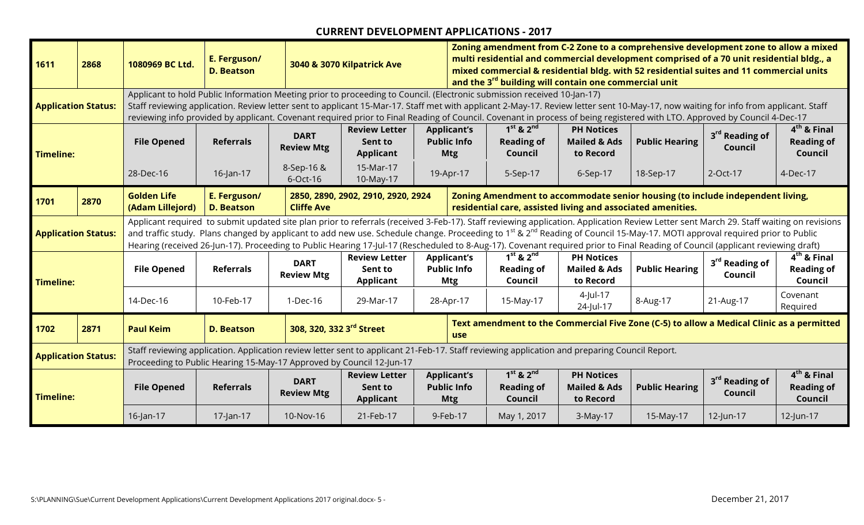| 1611                       | 2868 | 1080969 BC Ltd.                                                                                                                                                                                                       | E. Ferguson/<br><b>D. Beatson</b>                                                                                                                                                                                                                                                                                                                                                                                                                                                                                                                                                 |                                  | 3040 & 3070 Kilpatrick Ave                                                |                                                        | Zoning amendment from C-2 Zone to a comprehensive development zone to allow a mixed<br>multi residential and commercial development comprised of a 70 unit residential bldg., a<br>mixed commercial & residential bldg. with 52 residential suites and 11 commercial units<br>and the 3 <sup>rd</sup> building will contain one commercial unit<br>Applicant to hold Public Information Meeting prior to proceeding to Council. (Electronic submission received 10-Jan-17) |                                                           |                                                             |                                                                                |                                       |                                               |  |  |
|----------------------------|------|-----------------------------------------------------------------------------------------------------------------------------------------------------------------------------------------------------------------------|-----------------------------------------------------------------------------------------------------------------------------------------------------------------------------------------------------------------------------------------------------------------------------------------------------------------------------------------------------------------------------------------------------------------------------------------------------------------------------------------------------------------------------------------------------------------------------------|----------------------------------|---------------------------------------------------------------------------|--------------------------------------------------------|----------------------------------------------------------------------------------------------------------------------------------------------------------------------------------------------------------------------------------------------------------------------------------------------------------------------------------------------------------------------------------------------------------------------------------------------------------------------------|-----------------------------------------------------------|-------------------------------------------------------------|--------------------------------------------------------------------------------|---------------------------------------|-----------------------------------------------|--|--|
| <b>Application Status:</b> |      |                                                                                                                                                                                                                       | Staff reviewing application. Review letter sent to applicant 15-Mar-17. Staff met with applicant 2-May-17. Review letter sent 10-May-17, now waiting for info from applicant. Staff<br>reviewing info provided by applicant. Covenant required prior to Final Reading of Council. Covenant in process of being registered with LTO. Approved by Council 4-Dec-17                                                                                                                                                                                                                  |                                  |                                                                           |                                                        |                                                                                                                                                                                                                                                                                                                                                                                                                                                                            |                                                           |                                                             |                                                                                |                                       |                                               |  |  |
| <b>Timeline:</b>           |      | <b>File Opened</b>                                                                                                                                                                                                    | <b>Referrals</b>                                                                                                                                                                                                                                                                                                                                                                                                                                                                                                                                                                  | <b>DART</b><br><b>Review Mtg</b> | <b>Review Letter</b><br>Sent to<br><b>Applicant</b>                       | <b>Applicant's</b><br><b>Public Info</b><br><b>Mtg</b> |                                                                                                                                                                                                                                                                                                                                                                                                                                                                            | $1st$ & $2nd$<br><b>Reading of</b><br>Council             | <b>PH Notices</b><br><b>Mailed &amp; Ads</b><br>to Record   | <b>Public Hearing</b>                                                          | 3 <sup>rd</sup> Reading of<br>Council | $4th$ & Final<br><b>Reading of</b><br>Council |  |  |
|                            |      | 28-Dec-16                                                                                                                                                                                                             | 16-Jan-17                                                                                                                                                                                                                                                                                                                                                                                                                                                                                                                                                                         | 8-Sep-16 &<br>6-Oct-16           | 15-Mar-17<br>19-Apr-17<br>10-May-17<br>2850, 2890, 2902, 2910, 2920, 2924 |                                                        |                                                                                                                                                                                                                                                                                                                                                                                                                                                                            | 2-Oct-17<br>5-Sep-17<br>6-Sep-17<br>18-Sep-17<br>4-Dec-17 |                                                             |                                                                                |                                       |                                               |  |  |
| 1701                       | 2870 | <b>Golden Life</b><br>(Adam Lillejord)                                                                                                                                                                                | E. Ferguson/<br><b>D. Beatson</b>                                                                                                                                                                                                                                                                                                                                                                                                                                                                                                                                                 | <b>Cliffe Ave</b>                |                                                                           |                                                        |                                                                                                                                                                                                                                                                                                                                                                                                                                                                            |                                                           | residential care, assisted living and associated amenities. | Zoning Amendment to accommodate senior housing (to include independent living, |                                       |                                               |  |  |
| <b>Application Status:</b> |      |                                                                                                                                                                                                                       | Applicant required to submit updated site plan prior to referrals (received 3-Feb-17). Staff reviewing application. Application Review Letter sent March 29. Staff waiting on revisions<br>and traffic study. Plans changed by applicant to add new use. Schedule change. Proceeding to 1 <sup>st</sup> & 2 <sup>nd</sup> Reading of Council 15-May-17. MOTI approval required prior to Public<br>Hearing (received 26-Jun-17). Proceeding to Public Hearing 17-Jul-17 (Rescheduled to 8-Aug-17). Covenant required prior to Final Reading of Council (applicant reviewing draft) |                                  |                                                                           |                                                        |                                                                                                                                                                                                                                                                                                                                                                                                                                                                            |                                                           |                                                             |                                                                                |                                       |                                               |  |  |
| <b>Timeline:</b>           |      | <b>File Opened</b>                                                                                                                                                                                                    | <b>Referrals</b>                                                                                                                                                                                                                                                                                                                                                                                                                                                                                                                                                                  | <b>DART</b><br><b>Review Mtg</b> | <b>Review Letter</b><br>Sent to<br><b>Applicant</b>                       | <b>Applicant's</b><br><b>Public Info</b><br><b>Mtg</b> |                                                                                                                                                                                                                                                                                                                                                                                                                                                                            | $1st$ & $2nd$<br><b>Reading of</b><br>Council             | <b>PH Notices</b><br><b>Mailed &amp; Ads</b><br>to Record   | <b>Public Hearing</b>                                                          | 3 <sup>rd</sup> Reading of<br>Council | $4th$ & Final<br><b>Reading of</b><br>Council |  |  |
|                            |      | 14-Dec-16                                                                                                                                                                                                             | 10-Feb-17                                                                                                                                                                                                                                                                                                                                                                                                                                                                                                                                                                         | 1-Dec-16                         | 29-Mar-17                                                                 | 28-Apr-17                                              |                                                                                                                                                                                                                                                                                                                                                                                                                                                                            | 15-May-17                                                 | 4-Jul-17<br>24-Jul-17                                       | 8-Aug-17                                                                       | 21-Aug-17                             | Covenant<br>Required                          |  |  |
| 1702                       | 2871 | <b>Paul Keim</b>                                                                                                                                                                                                      | <b>D. Beatson</b>                                                                                                                                                                                                                                                                                                                                                                                                                                                                                                                                                                 | 308, 320, 332 3rd Street         |                                                                           |                                                        | Text amendment to the Commercial Five Zone (C-5) to allow a Medical Clinic as a permitted<br><b>use</b>                                                                                                                                                                                                                                                                                                                                                                    |                                                           |                                                             |                                                                                |                                       |                                               |  |  |
| <b>Application Status:</b> |      | Staff reviewing application. Application review letter sent to applicant 21-Feb-17. Staff reviewing application and preparing Council Report.<br>Proceeding to Public Hearing 15-May-17 Approved by Council 12-Jun-17 |                                                                                                                                                                                                                                                                                                                                                                                                                                                                                                                                                                                   |                                  |                                                                           |                                                        |                                                                                                                                                                                                                                                                                                                                                                                                                                                                            |                                                           |                                                             |                                                                                |                                       |                                               |  |  |
| <b>Timeline:</b>           |      | <b>File Opened</b>                                                                                                                                                                                                    | <b>Referrals</b>                                                                                                                                                                                                                                                                                                                                                                                                                                                                                                                                                                  | <b>DART</b><br><b>Review Mtg</b> | <b>Review Letter</b><br>Sent to<br><b>Applicant</b>                       | <b>Applicant's</b><br><b>Public Info</b><br><b>Mtg</b> |                                                                                                                                                                                                                                                                                                                                                                                                                                                                            | $1st$ & $2nd$<br><b>Reading of</b><br>Council             | <b>PH Notices</b><br><b>Mailed &amp; Ads</b><br>to Record   | <b>Public Hearing</b>                                                          | 3 <sup>rd</sup> Reading of<br>Council | $4th$ & Final<br><b>Reading of</b><br>Council |  |  |
|                            |      | $16$ -Jan-17                                                                                                                                                                                                          | 17-Jan-17                                                                                                                                                                                                                                                                                                                                                                                                                                                                                                                                                                         | 10-Nov-16                        | 21-Feb-17                                                                 | 9-Feb-17                                               |                                                                                                                                                                                                                                                                                                                                                                                                                                                                            | May 1, 2017                                               | 3-May-17                                                    | 15-May-17                                                                      | 12-Jun-17                             | 12-Jun-17                                     |  |  |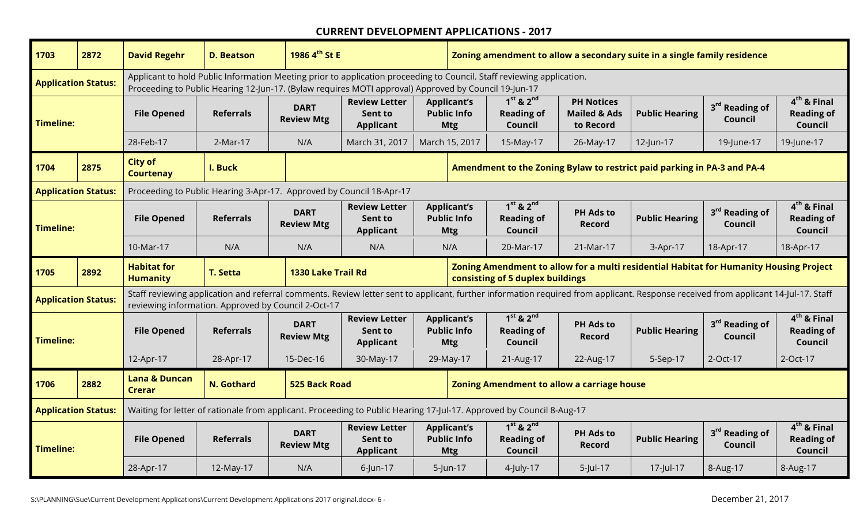| 1703                       | 2872 | <b>David Regehr</b>                                                                                                                                                                                                                                                                                                                                                                                                                                                                                                | <b>D. Beatson</b> | 1986 4 <sup>th</sup> St E                                                                                                                                                                                                                                                                                                                                                                                              |                                                                                                                                                                                    |                                                        | Zoning amendment to allow a secondary suite in a single family residence |                                                   |                                                                         |                                       |                                               |  |
|----------------------------|------|--------------------------------------------------------------------------------------------------------------------------------------------------------------------------------------------------------------------------------------------------------------------------------------------------------------------------------------------------------------------------------------------------------------------------------------------------------------------------------------------------------------------|-------------------|------------------------------------------------------------------------------------------------------------------------------------------------------------------------------------------------------------------------------------------------------------------------------------------------------------------------------------------------------------------------------------------------------------------------|------------------------------------------------------------------------------------------------------------------------------------------------------------------------------------|--------------------------------------------------------|--------------------------------------------------------------------------|---------------------------------------------------|-------------------------------------------------------------------------|---------------------------------------|-----------------------------------------------|--|
| <b>Application Status:</b> |      | Applicant to hold Public Information Meeting prior to application proceeding to Council. Staff reviewing application.<br>Proceeding to Public Hearing 12-Jun-17. (Bylaw requires MOTI approval) Approved by Council 19-Jun-17<br>$1st$ & $2nd$<br><b>PH Notices</b><br><b>Review Letter</b><br><b>Applicant's</b><br>3 <sup>rd</sup> Reading of<br><b>DART</b><br><b>Public Info</b><br><b>Mailed &amp; Ads</b><br><b>Public Hearing</b><br><b>File Opened</b><br><b>Referrals</b><br><b>Reading of</b><br>Sent to |                   |                                                                                                                                                                                                                                                                                                                                                                                                                        |                                                                                                                                                                                    |                                                        |                                                                          |                                                   |                                                                         |                                       |                                               |  |
| Timeline:                  |      |                                                                                                                                                                                                                                                                                                                                                                                                                                                                                                                    |                   | <b>Review Mtg</b>                                                                                                                                                                                                                                                                                                                                                                                                      | <b>Applicant</b>                                                                                                                                                                   | <b>Mtg</b>                                             | Council                                                                  | to Record                                         |                                                                         | Council                               | $4th$ & Final<br><b>Reading of</b><br>Council |  |
|                            |      | 28-Feb-17                                                                                                                                                                                                                                                                                                                                                                                                                                                                                                          | 2-Mar-17          | N/A                                                                                                                                                                                                                                                                                                                                                                                                                    | March 31, 2017                                                                                                                                                                     | March 15, 2017                                         | 15-May-17                                                                | 26-May-17                                         | 12-Jun-17                                                               | 19-June-17                            | 19-June-17                                    |  |
| 1704                       | 2875 | <b>City of</b><br><b>Courtenay</b>                                                                                                                                                                                                                                                                                                                                                                                                                                                                                 | I. Buck           |                                                                                                                                                                                                                                                                                                                                                                                                                        |                                                                                                                                                                                    |                                                        |                                                                          |                                                   | Amendment to the Zoning Bylaw to restrict paid parking in PA-3 and PA-4 |                                       |                                               |  |
| <b>Application Status:</b> |      |                                                                                                                                                                                                                                                                                                                                                                                                                                                                                                                    |                   |                                                                                                                                                                                                                                                                                                                                                                                                                        |                                                                                                                                                                                    |                                                        |                                                                          |                                                   |                                                                         |                                       |                                               |  |
| Timeline:                  |      | <b>File Opened</b>                                                                                                                                                                                                                                                                                                                                                                                                                                                                                                 | <b>Referrals</b>  | Proceeding to Public Hearing 3-Apr-17. Approved by Council 18-Apr-17<br>$1st$ & $2nd$<br>$4th$ & Final<br><b>Applicant's</b><br><b>Review Letter</b><br>3rd Reading of<br><b>DART</b><br><b>PH Ads to</b><br><b>Public Info</b><br><b>Reading of</b><br><b>Public Hearing</b><br><b>Reading of</b><br>Sent to<br><b>Review Mtg</b><br>Council<br><b>Record</b><br><b>Applicant</b><br>Council<br>Council<br><b>Mtg</b> |                                                                                                                                                                                    |                                                        |                                                                          |                                                   |                                                                         |                                       |                                               |  |
|                            |      | 10-Mar-17                                                                                                                                                                                                                                                                                                                                                                                                                                                                                                          | N/A               | N/A                                                                                                                                                                                                                                                                                                                                                                                                                    | N/A                                                                                                                                                                                | N/A                                                    | 20-Mar-17                                                                | 21-Mar-17                                         | 3-Apr-17                                                                | 18-Apr-17                             | 18-Apr-17                                     |  |
|                            |      |                                                                                                                                                                                                                                                                                                                                                                                                                                                                                                                    |                   | Zoning Amendment to allow for a multi residential Habitat for Humanity Housing Project                                                                                                                                                                                                                                                                                                                                 |                                                                                                                                                                                    |                                                        |                                                                          |                                                   |                                                                         |                                       |                                               |  |
| 1705                       | 2892 | <b>Habitat for</b><br><b>Humanity</b>                                                                                                                                                                                                                                                                                                                                                                                                                                                                              | <b>T. Setta</b>   | 1330 Lake Trail Rd                                                                                                                                                                                                                                                                                                                                                                                                     |                                                                                                                                                                                    |                                                        | consisting of 5 duplex buildings                                         |                                                   |                                                                         |                                       |                                               |  |
| <b>Application Status:</b> |      | reviewing information. Approved by Council 2-Oct-17                                                                                                                                                                                                                                                                                                                                                                                                                                                                |                   |                                                                                                                                                                                                                                                                                                                                                                                                                        | Staff reviewing application and referral comments. Review letter sent to applicant, further information required from applicant. Response received from applicant 14-Jul-17. Staff |                                                        |                                                                          |                                                   |                                                                         |                                       |                                               |  |
| Timeline:                  |      | <b>File Opened</b>                                                                                                                                                                                                                                                                                                                                                                                                                                                                                                 | <b>Referrals</b>  | <b>DART</b><br><b>Review Mtg</b>                                                                                                                                                                                                                                                                                                                                                                                       | <b>Review Letter</b><br>Sent to<br><b>Applicant</b>                                                                                                                                | <b>Applicant's</b><br><b>Public Info</b><br><b>Mtg</b> | $1st$ & $2nd$<br><b>Reading of</b><br>Council                            | <b>PH Ads to</b><br><b>Record</b>                 | <b>Public Hearing</b>                                                   | 3 <sup>rd</sup> Reading of<br>Council | $4th$ & Final<br><b>Reading of</b><br>Council |  |
|                            |      | 12-Apr-17                                                                                                                                                                                                                                                                                                                                                                                                                                                                                                          | 28-Apr-17         | 15-Dec-16                                                                                                                                                                                                                                                                                                                                                                                                              | 30-May-17                                                                                                                                                                          | 29-May-17                                              | 21-Aug-17                                                                | 22-Aug-17                                         | 5-Sep-17                                                                | 2-Oct-17                              | 2-Oct-17                                      |  |
| 1706                       | 2882 | <b>Lana &amp; Duncan</b><br><b>Crerar</b>                                                                                                                                                                                                                                                                                                                                                                                                                                                                          | N. Gothard        | <b>525 Back Road</b>                                                                                                                                                                                                                                                                                                                                                                                                   |                                                                                                                                                                                    |                                                        |                                                                          | <b>Zoning Amendment to allow a carriage house</b> |                                                                         |                                       |                                               |  |
| <b>Application Status:</b> |      |                                                                                                                                                                                                                                                                                                                                                                                                                                                                                                                    |                   |                                                                                                                                                                                                                                                                                                                                                                                                                        | Waiting for letter of rationale from applicant. Proceeding to Public Hearing 17-Jul-17. Approved by Council 8-Aug-17                                                               |                                                        |                                                                          |                                                   |                                                                         |                                       |                                               |  |
| Timeline:                  |      | <b>File Opened</b>                                                                                                                                                                                                                                                                                                                                                                                                                                                                                                 | <b>Referrals</b>  | <b>DART</b><br><b>Review Mtg</b>                                                                                                                                                                                                                                                                                                                                                                                       | <b>Review Letter</b><br>Sent to<br><b>Applicant</b>                                                                                                                                | <b>Applicant's</b><br><b>Public Info</b><br><b>Mtg</b> | $1st$ & $2nd$<br><b>Reading of</b><br>Council                            | <b>PH Ads to</b><br>Record                        | <b>Public Hearing</b>                                                   | 3rd Reading of<br>Council             | $4th$ & Final<br><b>Reading of</b><br>Council |  |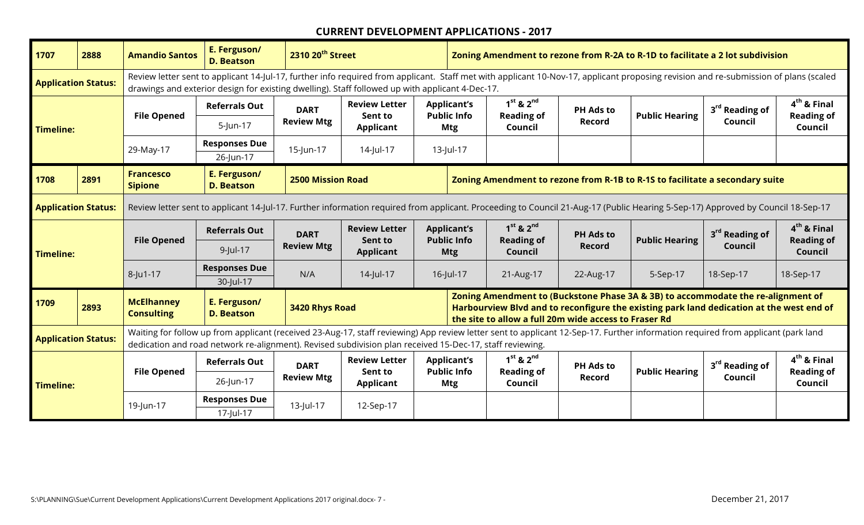| 1707                       | 2888 | <b>Amandio Santos</b>                  | E. Ferguson/<br><b>D. Beatson</b>                                                                                                                                                                                                                                                            | 2310 20 <sup>th</sup> Street |                                                                                                                                                                                 |                                                                                                                                                                                                                                       | Zoning Amendment to rezone from R-2A to R-1D to facilitate a 2 lot subdivision<br>Review letter sent to applicant 14-Jul-17, further info required from applicant. Staff met with applicant 10-Nov-17, applicant proposing revision and re-submission of plans (scaled |                                    |                  |                       |                            |                                    |  |  |
|----------------------------|------|----------------------------------------|----------------------------------------------------------------------------------------------------------------------------------------------------------------------------------------------------------------------------------------------------------------------------------------------|------------------------------|---------------------------------------------------------------------------------------------------------------------------------------------------------------------------------|---------------------------------------------------------------------------------------------------------------------------------------------------------------------------------------------------------------------------------------|------------------------------------------------------------------------------------------------------------------------------------------------------------------------------------------------------------------------------------------------------------------------|------------------------------------|------------------|-----------------------|----------------------------|------------------------------------|--|--|
| <b>Application Status:</b> |      |                                        |                                                                                                                                                                                                                                                                                              |                              | drawings and exterior design for existing dwelling). Staff followed up with applicant 4-Dec-17.                                                                                 |                                                                                                                                                                                                                                       |                                                                                                                                                                                                                                                                        |                                    |                  |                       |                            |                                    |  |  |
|                            |      | <b>File Opened</b>                     | <b>Referrals Out</b>                                                                                                                                                                                                                                                                         | <b>DART</b>                  | <b>Review Letter</b><br>Sent to                                                                                                                                                 | <b>Applicant's</b><br><b>Public Info</b>                                                                                                                                                                                              |                                                                                                                                                                                                                                                                        | $1st$ & $2nd$<br><b>Reading of</b> | <b>PH Ads to</b> | <b>Public Hearing</b> | 3 <sup>rd</sup> Reading of | $4th$ & Final<br><b>Reading of</b> |  |  |
| Timeline:                  |      |                                        | $5$ -Jun-17                                                                                                                                                                                                                                                                                  | <b>Review Mtg</b>            | Applicant                                                                                                                                                                       | Mtg                                                                                                                                                                                                                                   |                                                                                                                                                                                                                                                                        | Council                            | Record           |                       | Council                    | Council                            |  |  |
|                            |      | 29-May-17                              | <b>Responses Due</b>                                                                                                                                                                                                                                                                         | 15-Jun-17                    | 14-Jul-17                                                                                                                                                                       | 13-Jul-17                                                                                                                                                                                                                             |                                                                                                                                                                                                                                                                        |                                    |                  |                       |                            |                                    |  |  |
|                            |      |                                        | 26-Jun-17                                                                                                                                                                                                                                                                                    |                              |                                                                                                                                                                                 |                                                                                                                                                                                                                                       |                                                                                                                                                                                                                                                                        |                                    |                  |                       |                            |                                    |  |  |
| 1708                       | 2891 | <b>Francesco</b><br><b>Sipione</b>     | E. Ferguson/<br><b>D. Beatson</b>                                                                                                                                                                                                                                                            | <b>2500 Mission Road</b>     |                                                                                                                                                                                 |                                                                                                                                                                                                                                       | Zoning Amendment to rezone from R-1B to R-1S to facilitate a secondary suite                                                                                                                                                                                           |                                    |                  |                       |                            |                                    |  |  |
| <b>Application Status:</b> |      |                                        |                                                                                                                                                                                                                                                                                              |                              | Review letter sent to applicant 14-Jul-17. Further information required from applicant. Proceeding to Council 21-Aug-17 (Public Hearing 5-Sep-17) Approved by Council 18-Sep-17 |                                                                                                                                                                                                                                       |                                                                                                                                                                                                                                                                        |                                    |                  |                       |                            |                                    |  |  |
|                            |      | <b>File Opened</b>                     | <b>Referrals Out</b>                                                                                                                                                                                                                                                                         | <b>DART</b>                  | <b>Review Letter</b><br>Sent to                                                                                                                                                 | <b>Applicant's</b><br><b>Public Info</b>                                                                                                                                                                                              |                                                                                                                                                                                                                                                                        | $1st$ & $2nd$<br><b>Reading of</b> | <b>PH Ads to</b> | <b>Public Hearing</b> | 3rd Reading of             | $4th$ & Final<br><b>Reading of</b> |  |  |
| Timeline:                  |      |                                        | $9$ -Jul-17                                                                                                                                                                                                                                                                                  | <b>Review Mtg</b>            | <b>Applicant</b>                                                                                                                                                                | <b>Mtg</b>                                                                                                                                                                                                                            |                                                                                                                                                                                                                                                                        | Council                            | <b>Record</b>    |                       | Council                    | Council                            |  |  |
|                            |      | $8 -$ Ju1-17                           | <b>Responses Due</b>                                                                                                                                                                                                                                                                         | N/A                          | 14-Jul-17                                                                                                                                                                       | 16-Jul-17                                                                                                                                                                                                                             |                                                                                                                                                                                                                                                                        | 21-Aug-17                          | 22-Aug-17        | 5-Sep-17              | 18-Sep-17                  | 18-Sep-17                          |  |  |
|                            |      |                                        | 30-Jul-17                                                                                                                                                                                                                                                                                    |                              |                                                                                                                                                                                 |                                                                                                                                                                                                                                       |                                                                                                                                                                                                                                                                        |                                    |                  |                       |                            |                                    |  |  |
| 1709                       | 2893 | <b>McElhanney</b><br><b>Consulting</b> | E. Ferguson/<br><b>D. Beatson</b>                                                                                                                                                                                                                                                            | 3420 Rhys Road               |                                                                                                                                                                                 | Zoning Amendment to (Buckstone Phase 3A & 3B) to accommodate the re-alignment of<br>Harbourview Blvd and to reconfigure the existing park land dedication at the west end of<br>the site to allow a full 20m wide access to Fraser Rd |                                                                                                                                                                                                                                                                        |                                    |                  |                       |                            |                                    |  |  |
| <b>Application Status:</b> |      |                                        | Waiting for follow up from applicant (received 23-Aug-17, staff reviewing) App review letter sent to applicant 12-Sep-17. Further information required from applicant (park land<br>dedication and road network re-alignment). Revised subdivision plan received 15-Dec-17, staff reviewing. |                              |                                                                                                                                                                                 |                                                                                                                                                                                                                                       |                                                                                                                                                                                                                                                                        |                                    |                  |                       |                            |                                    |  |  |
|                            |      | <b>File Opened</b>                     | <b>Referrals Out</b>                                                                                                                                                                                                                                                                         | <b>DART</b>                  | <b>Review Letter</b><br>Sent to                                                                                                                                                 | <b>Applicant's</b><br><b>Public Info</b>                                                                                                                                                                                              |                                                                                                                                                                                                                                                                        | $1st$ & $2nd$<br><b>Reading of</b> | <b>PH Ads to</b> | <b>Public Hearing</b> | 3 <sup>rd</sup> Reading of | $4th$ & Final<br><b>Reading of</b> |  |  |
| Timeline:                  |      |                                        | 26-Jun-17                                                                                                                                                                                                                                                                                    | <b>Review Mtg</b>            | <b>Applicant</b>                                                                                                                                                                | Mtg                                                                                                                                                                                                                                   |                                                                                                                                                                                                                                                                        | Council                            | Record           |                       | Council                    | Council                            |  |  |
|                            |      | 19-Jun-17                              | <b>Responses Due</b>                                                                                                                                                                                                                                                                         | 13-Jul-17                    | 12-Sep-17                                                                                                                                                                       |                                                                                                                                                                                                                                       |                                                                                                                                                                                                                                                                        |                                    |                  |                       |                            |                                    |  |  |
|                            |      |                                        | 17-Jul-17                                                                                                                                                                                                                                                                                    |                              |                                                                                                                                                                                 |                                                                                                                                                                                                                                       |                                                                                                                                                                                                                                                                        |                                    |                  |                       |                            |                                    |  |  |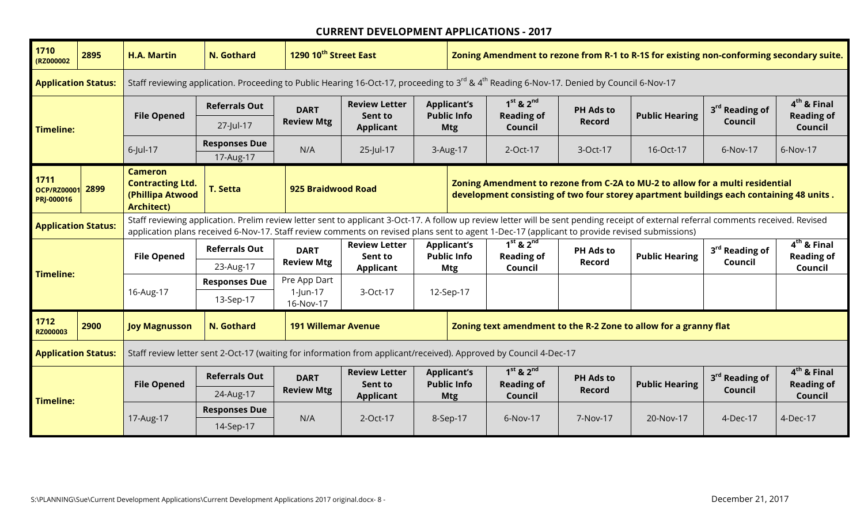| 1710<br>(RZ000002                        | 2895 | <b>H.A. Martin</b>                                                                                                | N. Gothard                                                                                                                                                                                                                                                                                                                            |                       | 1290 10 <sup>th</sup> Street East<br>Staff reviewing application. Proceeding to Public Hearing 16-Oct-17, proceeding to 3 <sup>rd</sup> & 4 <sup>th</sup> Reading 6-Nov-17. Denied by Council 6-Nov-17 |                                                                  |                                          | Zoning Amendment to rezone from R-1 to R-1S for existing non-conforming secondary suite.                                                                                 |                  |                       |                            |                                    |  |
|------------------------------------------|------|-------------------------------------------------------------------------------------------------------------------|---------------------------------------------------------------------------------------------------------------------------------------------------------------------------------------------------------------------------------------------------------------------------------------------------------------------------------------|-----------------------|--------------------------------------------------------------------------------------------------------------------------------------------------------------------------------------------------------|------------------------------------------------------------------|------------------------------------------|--------------------------------------------------------------------------------------------------------------------------------------------------------------------------|------------------|-----------------------|----------------------------|------------------------------------|--|
| <b>Application Status:</b>               |      |                                                                                                                   |                                                                                                                                                                                                                                                                                                                                       |                       |                                                                                                                                                                                                        |                                                                  |                                          |                                                                                                                                                                          |                  |                       |                            |                                    |  |
|                                          |      | <b>File Opened</b>                                                                                                | <b>Referrals Out</b>                                                                                                                                                                                                                                                                                                                  | <b>DART</b>           | <b>Review Letter</b><br>Sent to                                                                                                                                                                        |                                                                  | <b>Applicant's</b><br><b>Public Info</b> | $1st$ & $2nd$<br><b>Reading of</b>                                                                                                                                       | <b>PH Ads to</b> | <b>Public Hearing</b> | 3 <sup>rd</sup> Reading of | $4th$ & Final<br><b>Reading of</b> |  |
| <b>Timeline:</b>                         |      |                                                                                                                   | 27-Jul-17                                                                                                                                                                                                                                                                                                                             | <b>Review Mtg</b>     | <b>Applicant</b>                                                                                                                                                                                       |                                                                  | <b>Mtg</b>                               | Council                                                                                                                                                                  | <b>Record</b>    |                       | Council                    | Council                            |  |
|                                          |      | $6$ -Jul-17                                                                                                       | <b>Responses Due</b>                                                                                                                                                                                                                                                                                                                  | N/A                   | 25-Jul-17                                                                                                                                                                                              | 3-Aug-17                                                         |                                          | 2-Oct-17                                                                                                                                                                 | 3-Oct-17         | 16-Oct-17             | 6-Nov-17                   | 6-Nov-17                           |  |
|                                          |      |                                                                                                                   | 17-Aug-17                                                                                                                                                                                                                                                                                                                             |                       |                                                                                                                                                                                                        |                                                                  |                                          |                                                                                                                                                                          |                  |                       |                            |                                    |  |
| 1711<br><b>OCP/RZ00001</b><br>PRJ-000016 | 2899 | <b>Cameron</b><br><b>Contracting Ltd.</b><br>(Phillipa Atwood<br><b>Architect)</b>                                | <b>T. Setta</b>                                                                                                                                                                                                                                                                                                                       | 925 Braidwood Road    |                                                                                                                                                                                                        |                                                                  |                                          | Zoning Amendment to rezone from C-2A to MU-2 to allow for a multi residential<br>development consisting of two four storey apartment buildings each containing 48 units. |                  |                       |                            |                                    |  |
| <b>Application Status:</b>               |      |                                                                                                                   | Staff reviewing application. Prelim review letter sent to applicant 3-Oct-17. A follow up review letter will be sent pending receipt of external referral comments received. Revised<br>application plans received 6-Nov-17. Staff review comments on revised plans sent to agent 1-Dec-17 (applicant to provide revised submissions) |                       |                                                                                                                                                                                                        |                                                                  |                                          |                                                                                                                                                                          |                  |                       |                            |                                    |  |
|                                          |      | <b>File Opened</b>                                                                                                | <b>Referrals Out</b>                                                                                                                                                                                                                                                                                                                  | <b>DART</b>           | <b>Review Letter</b><br>Sent to                                                                                                                                                                        |                                                                  | <b>Applicant's</b><br><b>Public Info</b> | $1st$ & $2nd$<br><b>Reading of</b>                                                                                                                                       | <b>PH Ads to</b> | <b>Public Hearing</b> | 3 <sup>rd</sup> Reading of | $4th$ & Final<br><b>Reading of</b> |  |
| <b>Timeline:</b>                         |      |                                                                                                                   | 23-Aug-17                                                                                                                                                                                                                                                                                                                             | <b>Review Mtg</b>     | <b>Applicant</b>                                                                                                                                                                                       |                                                                  | Mtg                                      | Council                                                                                                                                                                  | Record           |                       | Council                    | Council                            |  |
|                                          |      |                                                                                                                   | <b>Responses Due</b>                                                                                                                                                                                                                                                                                                                  | Pre App Dart          | 3-Oct-17                                                                                                                                                                                               |                                                                  |                                          |                                                                                                                                                                          |                  |                       |                            |                                    |  |
|                                          |      | 16-Aug-17                                                                                                         | 13-Sep-17                                                                                                                                                                                                                                                                                                                             | 1-Jun-17<br>16-Nov-17 |                                                                                                                                                                                                        | 12-Sep-17                                                        |                                          |                                                                                                                                                                          |                  |                       |                            |                                    |  |
| 1712<br>RZ000003                         | 2900 | <b>N. Gothard</b><br><b>191 Willemar Avenue</b><br><b>Joy Magnusson</b>                                           |                                                                                                                                                                                                                                                                                                                                       |                       |                                                                                                                                                                                                        | Zoning text amendment to the R-2 Zone to allow for a granny flat |                                          |                                                                                                                                                                          |                  |                       |                            |                                    |  |
| <b>Application Status:</b>               |      | Staff review letter sent 2-Oct-17 (waiting for information from applicant/received). Approved by Council 4-Dec-17 |                                                                                                                                                                                                                                                                                                                                       |                       |                                                                                                                                                                                                        |                                                                  |                                          |                                                                                                                                                                          |                  |                       |                            |                                    |  |
|                                          |      | <b>File Opened</b>                                                                                                | <b>Referrals Out</b>                                                                                                                                                                                                                                                                                                                  | <b>DART</b>           | <b>Review Letter</b><br>Sent to                                                                                                                                                                        |                                                                  | <b>Applicant's</b><br><b>Public Info</b> | $1st$ & $2nd$<br><b>Reading of</b>                                                                                                                                       | <b>PH Ads to</b> | <b>Public Hearing</b> | 3 <sup>rd</sup> Reading of | $4th$ & Final<br><b>Reading of</b> |  |
| <b>Timeline:</b>                         |      |                                                                                                                   | 24-Aug-17                                                                                                                                                                                                                                                                                                                             | <b>Review Mtg</b>     | <b>Applicant</b>                                                                                                                                                                                       |                                                                  | <b>Mtg</b>                               | Council                                                                                                                                                                  | <b>Record</b>    |                       | Council                    | Council                            |  |
|                                          |      |                                                                                                                   | <b>Responses Due</b>                                                                                                                                                                                                                                                                                                                  |                       |                                                                                                                                                                                                        |                                                                  |                                          |                                                                                                                                                                          |                  |                       |                            |                                    |  |
|                                          |      | 17-Aug-17                                                                                                         | 14-Sep-17                                                                                                                                                                                                                                                                                                                             | N/A                   | $2$ -Oct-17                                                                                                                                                                                            | 8-Sep-17                                                         |                                          | 6-Nov-17                                                                                                                                                                 | 7-Nov-17         | 20-Nov-17             | 4-Dec-17                   | 4-Dec-17                           |  |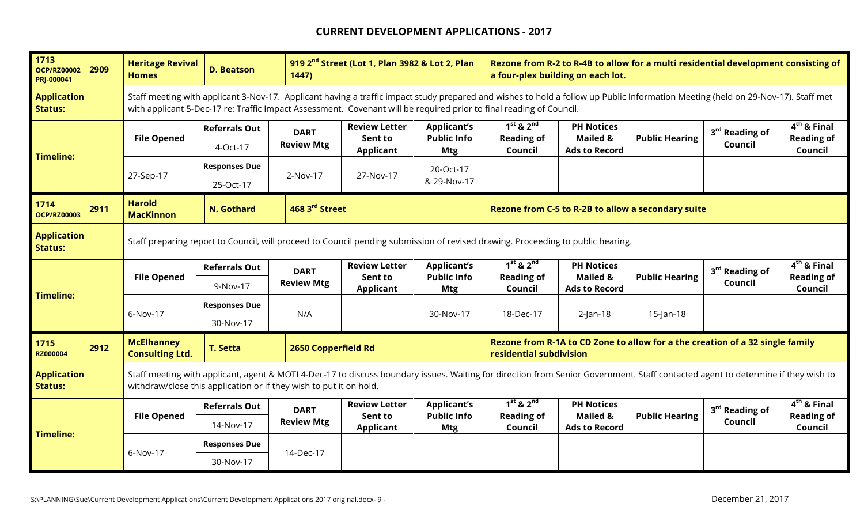| 1713<br><b>OCP/RZ00002</b><br>PRJ-000041 | 2909 | <b>Heritage Revival</b><br><b>Homes</b>                                                                                                                                                                                                                | <b>D. Beatson</b>                                                                                                               | 1447)               | 919 2 <sup>nd</sup> Street (Lot 1, Plan 3982 & Lot 2, Plan |                                          | Rezone from R-2 to R-4B to allow for a multi residential development consisting of<br>a four-plex building on each lot.<br>Staff meeting with applicant 3-Nov-17. Applicant having a traffic impact study prepared and wishes to hold a follow up Public Information Meeting (held on 29-Nov-17). Staff met |                                             |                       |                            |                                    |  |
|------------------------------------------|------|--------------------------------------------------------------------------------------------------------------------------------------------------------------------------------------------------------------------------------------------------------|---------------------------------------------------------------------------------------------------------------------------------|---------------------|------------------------------------------------------------|------------------------------------------|-------------------------------------------------------------------------------------------------------------------------------------------------------------------------------------------------------------------------------------------------------------------------------------------------------------|---------------------------------------------|-----------------------|----------------------------|------------------------------------|--|
| <b>Application</b><br><b>Status:</b>     |      |                                                                                                                                                                                                                                                        | with applicant 5-Dec-17 re: Traffic Impact Assessment. Covenant will be required prior to final reading of Council.             |                     |                                                            |                                          |                                                                                                                                                                                                                                                                                                             |                                             |                       |                            |                                    |  |
|                                          |      |                                                                                                                                                                                                                                                        | <b>Referrals Out</b>                                                                                                            | <b>DART</b>         | <b>Review Letter</b>                                       | <b>Applicant's</b>                       | $1st$ & $2nd$                                                                                                                                                                                                                                                                                               | <b>PH Notices</b>                           |                       | 3rd Reading of             | $4th$ & Final                      |  |
| <b>Timeline:</b>                         |      | <b>File Opened</b>                                                                                                                                                                                                                                     | 4-Oct-17                                                                                                                        | <b>Review Mtg</b>   | Sent to<br><b>Applicant</b>                                | <b>Public Info</b><br><b>Mtg</b>         | <b>Reading of</b><br>Council                                                                                                                                                                                                                                                                                | <b>Mailed &amp;</b><br><b>Ads to Record</b> | <b>Public Hearing</b> | Council                    | <b>Reading of</b><br>Council       |  |
|                                          |      |                                                                                                                                                                                                                                                        | <b>Responses Due</b>                                                                                                            |                     |                                                            | 20-Oct-17                                |                                                                                                                                                                                                                                                                                                             |                                             |                       |                            |                                    |  |
|                                          |      | 27-Sep-17                                                                                                                                                                                                                                              | 25-Oct-17                                                                                                                       | 2-Nov-17            | 27-Nov-17                                                  | & 29-Nov-17                              |                                                                                                                                                                                                                                                                                                             |                                             |                       |                            |                                    |  |
| 1714<br><b>OCP/RZ00003</b>               | 2911 | <b>Harold</b><br><b>MacKinnon</b>                                                                                                                                                                                                                      | N. Gothard                                                                                                                      | 468 3rd Street      |                                                            |                                          | Rezone from C-5 to R-2B to allow a secondary suite                                                                                                                                                                                                                                                          |                                             |                       |                            |                                    |  |
| <b>Application</b><br><b>Status:</b>     |      |                                                                                                                                                                                                                                                        | Staff preparing report to Council, will proceed to Council pending submission of revised drawing. Proceeding to public hearing. |                     |                                                            |                                          |                                                                                                                                                                                                                                                                                                             |                                             |                       |                            |                                    |  |
|                                          |      |                                                                                                                                                                                                                                                        | <b>Referrals Out</b>                                                                                                            | <b>DART</b>         | <b>Review Letter</b><br>Sent to                            | <b>Applicant's</b><br><b>Public Info</b> | $1st$ & $2nd$<br><b>Reading of</b>                                                                                                                                                                                                                                                                          | <b>PH Notices</b><br><b>Mailed &amp;</b>    | <b>Public Hearing</b> | 3 <sup>rd</sup> Reading of | $4th$ & Final<br><b>Reading of</b> |  |
| <b>Timeline:</b>                         |      | <b>File Opened</b>                                                                                                                                                                                                                                     | 9-Nov-17                                                                                                                        | <b>Review Mtg</b>   | Applicant                                                  | Mtg                                      | Council                                                                                                                                                                                                                                                                                                     | <b>Ads to Record</b>                        |                       | Council                    | Council                            |  |
|                                          |      | 6-Nov-17                                                                                                                                                                                                                                               | <b>Responses Due</b>                                                                                                            | N/A                 |                                                            | 30-Nov-17                                | 18-Dec-17                                                                                                                                                                                                                                                                                                   | $2$ -Jan-18                                 | $15$ -Jan-18          |                            |                                    |  |
|                                          |      |                                                                                                                                                                                                                                                        | 30-Nov-17                                                                                                                       |                     |                                                            |                                          |                                                                                                                                                                                                                                                                                                             |                                             |                       |                            |                                    |  |
| 1715<br><b>RZ000004</b>                  | 2912 | <b>McElhanney</b><br><b>Consulting Ltd.</b>                                                                                                                                                                                                            | <b>T. Setta</b>                                                                                                                 | 2650 Copperfield Rd |                                                            |                                          | Rezone from R-1A to CD Zone to allow for a the creation of a 32 single family<br>residential subdivision                                                                                                                                                                                                    |                                             |                       |                            |                                    |  |
| <b>Application</b><br><b>Status:</b>     |      | Staff meeting with applicant, agent & MOTI 4-Dec-17 to discuss boundary issues. Waiting for direction from Senior Government. Staff contacted agent to determine if they wish to<br>withdraw/close this application or if they wish to put it on hold. |                                                                                                                                 |                     |                                                            |                                          |                                                                                                                                                                                                                                                                                                             |                                             |                       |                            |                                    |  |
|                                          |      | <b>File Opened</b>                                                                                                                                                                                                                                     | <b>Referrals Out</b>                                                                                                            | <b>DART</b>         | <b>Review Letter</b><br>Sent to                            | <b>Applicant's</b><br><b>Public Info</b> | $1st$ & $2nd$<br><b>Reading of</b>                                                                                                                                                                                                                                                                          | <b>PH Notices</b><br><b>Mailed &amp;</b>    | <b>Public Hearing</b> | 3 <sup>rd</sup> Reading of | $4th$ & Final<br><b>Reading of</b> |  |
| <b>Timeline:</b>                         |      |                                                                                                                                                                                                                                                        | 14-Nov-17                                                                                                                       | <b>Review Mtg</b>   | <b>Applicant</b>                                           | <b>Mtg</b>                               | Council                                                                                                                                                                                                                                                                                                     | <b>Ads to Record</b>                        |                       | Council                    | Council                            |  |
|                                          |      | 6-Nov-17                                                                                                                                                                                                                                               | <b>Responses Due</b>                                                                                                            | 14-Dec-17           |                                                            |                                          |                                                                                                                                                                                                                                                                                                             |                                             |                       |                            |                                    |  |
|                                          |      |                                                                                                                                                                                                                                                        | 30-Nov-17                                                                                                                       |                     |                                                            |                                          |                                                                                                                                                                                                                                                                                                             |                                             |                       |                            |                                    |  |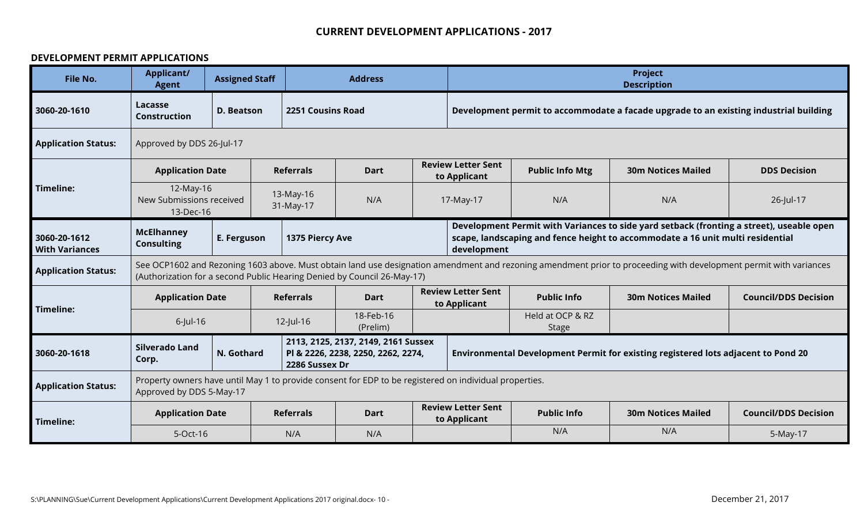#### **DEVELOPMENT PERMIT APPLICATIONS**

| File No.                              | <b>Applicant/</b><br><b>Agent</b>      | <b>Assigned Staff</b>                                                                                          |                          | <b>Address</b>                                                                                         | <b>Project</b><br><b>Description</b>                                              |                                                                                                                                                                                           |                                  |                                                                                                                                                                   |                             |  |  |
|---------------------------------------|----------------------------------------|----------------------------------------------------------------------------------------------------------------|--------------------------|--------------------------------------------------------------------------------------------------------|-----------------------------------------------------------------------------------|-------------------------------------------------------------------------------------------------------------------------------------------------------------------------------------------|----------------------------------|-------------------------------------------------------------------------------------------------------------------------------------------------------------------|-----------------------------|--|--|
| 3060-20-1610                          | Lacasse<br><b>Construction</b>         | D. Beatson                                                                                                     | <b>2251 Cousins Road</b> |                                                                                                        |                                                                                   |                                                                                                                                                                                           |                                  | Development permit to accommodate a facade upgrade to an existing industrial building                                                                             |                             |  |  |
| <b>Application Status:</b>            | Approved by DDS 26-Jul-17              |                                                                                                                |                          |                                                                                                        |                                                                                   |                                                                                                                                                                                           |                                  |                                                                                                                                                                   |                             |  |  |
|                                       | <b>Application Date</b>                |                                                                                                                | <b>Referrals</b>         | <b>Dart</b>                                                                                            |                                                                                   | <b>Review Letter Sent</b><br>to Applicant                                                                                                                                                 | <b>Public Info Mtg</b>           | <b>30m Notices Mailed</b>                                                                                                                                         | <b>DDS Decision</b>         |  |  |
| Timeline:                             |                                        | 12-May-16<br>13-May-16<br>New Submissions received<br>N/A<br>N/A<br>N/A<br>17-May-17<br>31-May-17<br>13-Dec-16 |                          |                                                                                                        |                                                                                   |                                                                                                                                                                                           |                                  | 26-Jul-17                                                                                                                                                         |                             |  |  |
| 3060-20-1612<br><b>With Variances</b> | <b>McElhanney</b><br><b>Consulting</b> | E. Ferguson                                                                                                    | 1375 Piercy Ave          |                                                                                                        |                                                                                   | Development Permit with Variances to side yard setback (fronting a street), useable open<br>scape, landscaping and fence height to accommodate a 16 unit multi residential<br>development |                                  |                                                                                                                                                                   |                             |  |  |
| <b>Application Status:</b>            |                                        |                                                                                                                |                          | (Authorization for a second Public Hearing Denied by Council 26-May-17)                                |                                                                                   |                                                                                                                                                                                           |                                  | See OCP1602 and Rezoning 1603 above. Must obtain land use designation amendment and rezoning amendment prior to proceeding with development permit with variances |                             |  |  |
| <b>Timeline:</b>                      | <b>Application Date</b>                |                                                                                                                | <b>Referrals</b>         | <b>Dart</b>                                                                                            |                                                                                   | <b>Review Letter Sent</b><br>to Applicant                                                                                                                                                 | <b>Public Info</b>               | <b>30m Notices Mailed</b>                                                                                                                                         | <b>Council/DDS Decision</b> |  |  |
|                                       | $6$ -Jul-16                            |                                                                                                                | $12$ -Jul-16             | 18-Feb-16<br>(Prelim)                                                                                  |                                                                                   |                                                                                                                                                                                           | Held at OCP & RZ<br><b>Stage</b> |                                                                                                                                                                   |                             |  |  |
| 3060-20-1618                          | <b>Silverado Land</b><br>Corp.         | N. Gothard                                                                                                     | 2286 Sussex Dr           | 2113, 2125, 2137, 2149, 2161 Sussex<br>PI & 2226, 2238, 2250, 2262, 2274,                              | Environmental Development Permit for existing registered lots adjacent to Pond 20 |                                                                                                                                                                                           |                                  |                                                                                                                                                                   |                             |  |  |
| <b>Application Status:</b>            | Approved by DDS 5-May-17               |                                                                                                                |                          | Property owners have until May 1 to provide consent for EDP to be registered on individual properties. |                                                                                   |                                                                                                                                                                                           |                                  |                                                                                                                                                                   |                             |  |  |
| <b>Timeline:</b>                      | <b>Application Date</b>                |                                                                                                                | <b>Referrals</b>         | <b>Dart</b>                                                                                            |                                                                                   | <b>Review Letter Sent</b><br>to Applicant                                                                                                                                                 | <b>Public Info</b>               | <b>30m Notices Mailed</b>                                                                                                                                         | <b>Council/DDS Decision</b> |  |  |
|                                       | 5-Oct-16                               |                                                                                                                | N/A                      | N/A                                                                                                    |                                                                                   |                                                                                                                                                                                           | N/A                              | N/A                                                                                                                                                               | 5-May-17                    |  |  |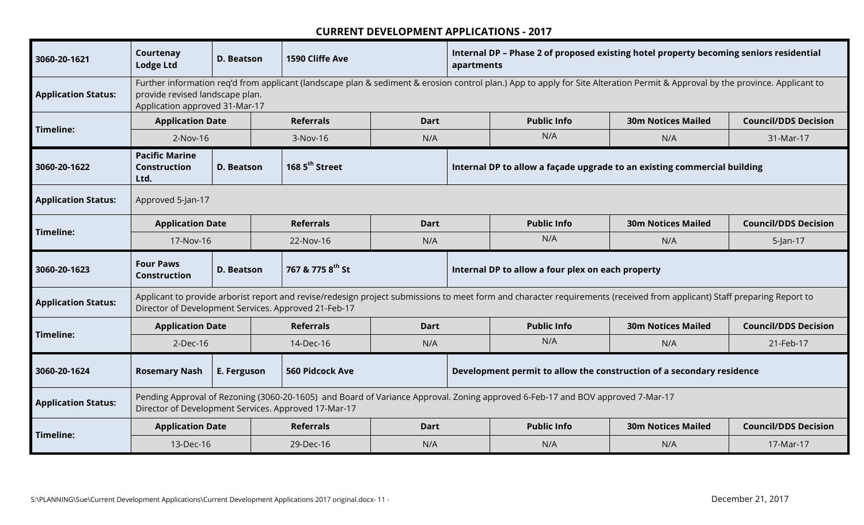| 3060-20-1621               | Courtenay<br><b>Lodge Ltd</b>                                             | <b>D. Beatson</b> | 1590 Cliffe Ave                                      |             | Internal DP - Phase 2 of proposed existing hotel property becoming seniors residential<br>apartments<br>Further information req'd from applicant (landscape plan & sediment & erosion control plan.) App to apply for Site Alteration Permit & Approval by the province. Applicant to |                                                                                                                                |                                                                                                                                                                          |                             |
|----------------------------|---------------------------------------------------------------------------|-------------------|------------------------------------------------------|-------------|---------------------------------------------------------------------------------------------------------------------------------------------------------------------------------------------------------------------------------------------------------------------------------------|--------------------------------------------------------------------------------------------------------------------------------|--------------------------------------------------------------------------------------------------------------------------------------------------------------------------|-----------------------------|
| <b>Application Status:</b> | provide revised landscape plan.<br>Application approved 31-Mar-17         |                   |                                                      |             |                                                                                                                                                                                                                                                                                       |                                                                                                                                |                                                                                                                                                                          |                             |
| Timeline:                  | <b>Application Date</b>                                                   |                   | <b>Referrals</b>                                     | <b>Dart</b> |                                                                                                                                                                                                                                                                                       | <b>Public Info</b>                                                                                                             | <b>30m Notices Mailed</b>                                                                                                                                                | <b>Council/DDS Decision</b> |
|                            | 2-Nov-16                                                                  |                   | 3-Nov-16                                             | N/A         |                                                                                                                                                                                                                                                                                       | N/A                                                                                                                            | N/A                                                                                                                                                                      | 31-Mar-17                   |
| 3060-20-1622               | <b>Pacific Marine</b><br><b>Construction</b><br><b>D. Beatson</b><br>Ltd. |                   | 168 5 <sup>th</sup> Street                           |             |                                                                                                                                                                                                                                                                                       |                                                                                                                                | Internal DP to allow a façade upgrade to an existing commercial building                                                                                                 |                             |
| <b>Application Status:</b> | Approved 5-Jan-17                                                         |                   |                                                      |             |                                                                                                                                                                                                                                                                                       |                                                                                                                                |                                                                                                                                                                          |                             |
| Timeline:                  | <b>Application Date</b>                                                   |                   | <b>Referrals</b>                                     | <b>Dart</b> |                                                                                                                                                                                                                                                                                       | <b>Public Info</b>                                                                                                             | <b>30m Notices Mailed</b>                                                                                                                                                | <b>Council/DDS Decision</b> |
|                            |                                                                           |                   | 22-Nov-16                                            | N/A         |                                                                                                                                                                                                                                                                                       | N/A                                                                                                                            | N/A                                                                                                                                                                      | $5$ -Jan-17                 |
|                            |                                                                           | 17-Nov-16         |                                                      |             |                                                                                                                                                                                                                                                                                       |                                                                                                                                |                                                                                                                                                                          |                             |
| 3060-20-1623               | <b>Four Paws</b><br><b>Construction</b>                                   | <b>D. Beatson</b> | 767 & 775 8 <sup>th</sup> St                         |             |                                                                                                                                                                                                                                                                                       | Internal DP to allow a four plex on each property                                                                              |                                                                                                                                                                          |                             |
| <b>Application Status:</b> |                                                                           |                   | Director of Development Services. Approved 21-Feb-17 |             |                                                                                                                                                                                                                                                                                       |                                                                                                                                | Applicant to provide arborist report and revise/redesign project submissions to meet form and character requirements (received from applicant) Staff preparing Report to |                             |
|                            | <b>Application Date</b>                                                   |                   | <b>Referrals</b>                                     | <b>Dart</b> |                                                                                                                                                                                                                                                                                       | <b>Public Info</b>                                                                                                             | <b>30m Notices Mailed</b>                                                                                                                                                | <b>Council/DDS Decision</b> |
| Timeline:                  | 2-Dec-16                                                                  |                   | 14-Dec-16                                            | N/A         |                                                                                                                                                                                                                                                                                       | N/A                                                                                                                            | N/A                                                                                                                                                                      | 21-Feb-17                   |
| 3060-20-1624               | <b>Rosemary Nash</b>                                                      | E. Ferguson       | <b>560 Pidcock Ave</b>                               |             |                                                                                                                                                                                                                                                                                       |                                                                                                                                | Development permit to allow the construction of a secondary residence                                                                                                    |                             |
| <b>Application Status:</b> |                                                                           |                   | Director of Development Services. Approved 17-Mar-17 |             |                                                                                                                                                                                                                                                                                       | Pending Approval of Rezoning (3060-20-1605) and Board of Variance Approval. Zoning approved 6-Feb-17 and BOV approved 7-Mar-17 |                                                                                                                                                                          |                             |
| Timeline:                  | <b>Application Date</b>                                                   |                   | <b>Referrals</b>                                     | <b>Dart</b> |                                                                                                                                                                                                                                                                                       | <b>Public Info</b>                                                                                                             | <b>30m Notices Mailed</b>                                                                                                                                                | <b>Council/DDS Decision</b> |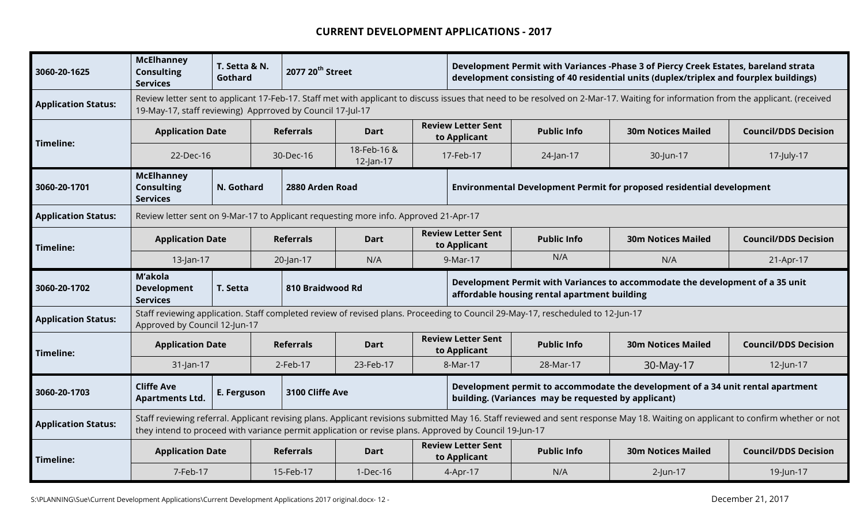| 3060-20-1625               | <b>McElhanney</b><br><b>Consulting</b><br><b>Services</b>                                                                                          | T. Setta & N.<br>Gothard |  |                                                                                                                                        | 2077 20 <sup>th</sup> Street                                                                           |                                                                                                                             |                                           | Development Permit with Variances -Phase 3 of Piercy Creek Estates, bareland strata<br>development consisting of 40 residential units (duplex/triplex and fourplex buildings)<br>Review letter sent to applicant 17-Feb-17. Staff met with applicant to discuss issues that need to be resolved on 2-Mar-17. Waiting for information from the applicant. (received |                                                                                                                                                                                   |                             |  |  |
|----------------------------|----------------------------------------------------------------------------------------------------------------------------------------------------|--------------------------|--|----------------------------------------------------------------------------------------------------------------------------------------|--------------------------------------------------------------------------------------------------------|-----------------------------------------------------------------------------------------------------------------------------|-------------------------------------------|--------------------------------------------------------------------------------------------------------------------------------------------------------------------------------------------------------------------------------------------------------------------------------------------------------------------------------------------------------------------|-----------------------------------------------------------------------------------------------------------------------------------------------------------------------------------|-----------------------------|--|--|
| <b>Application Status:</b> | 19-May-17, staff reviewing) Apprroved by Council 17-Jul-17                                                                                         |                          |  |                                                                                                                                        |                                                                                                        |                                                                                                                             |                                           |                                                                                                                                                                                                                                                                                                                                                                    |                                                                                                                                                                                   |                             |  |  |
|                            | <b>Application Date</b>                                                                                                                            |                          |  | <b>Referrals</b>                                                                                                                       | <b>Dart</b>                                                                                            |                                                                                                                             | <b>Review Letter Sent</b><br>to Applicant | <b>Public Info</b>                                                                                                                                                                                                                                                                                                                                                 | <b>30m Notices Mailed</b>                                                                                                                                                         | <b>Council/DDS Decision</b> |  |  |
| Timeline:                  | 22-Dec-16                                                                                                                                          |                          |  | 30-Dec-16                                                                                                                              | 18-Feb-16 &<br>$12$ -Jan-17                                                                            |                                                                                                                             | 17-Feb-17                                 | 24-Jan-17                                                                                                                                                                                                                                                                                                                                                          | 30-Jun-17                                                                                                                                                                         | 17-July-17                  |  |  |
| 3060-20-1701               | <b>McElhanney</b><br><b>Consulting</b><br><b>Services</b>                                                                                          | N. Gothard               |  | 2880 Arden Road                                                                                                                        |                                                                                                        |                                                                                                                             |                                           |                                                                                                                                                                                                                                                                                                                                                                    | Environmental Development Permit for proposed residential development                                                                                                             |                             |  |  |
| <b>Application Status:</b> |                                                                                                                                                    |                          |  |                                                                                                                                        |                                                                                                        |                                                                                                                             |                                           |                                                                                                                                                                                                                                                                                                                                                                    |                                                                                                                                                                                   |                             |  |  |
| Timeline:                  | Review letter sent on 9-Mar-17 to Applicant requesting more info. Approved 21-Apr-17<br><b>Referrals</b><br><b>Application Date</b><br><b>Dart</b> |                          |  |                                                                                                                                        |                                                                                                        | <b>Review Letter Sent</b><br><b>Public Info</b><br><b>30m Notices Mailed</b><br><b>Council/DDS Decision</b><br>to Applicant |                                           |                                                                                                                                                                                                                                                                                                                                                                    |                                                                                                                                                                                   |                             |  |  |
|                            | 13-Jan-17                                                                                                                                          |                          |  | 20-Jan-17                                                                                                                              | N/A                                                                                                    |                                                                                                                             | 9-Mar-17                                  | N/A                                                                                                                                                                                                                                                                                                                                                                | N/A                                                                                                                                                                               | 21-Apr-17                   |  |  |
| 3060-20-1702               | M'akola<br><b>Development</b><br><b>Services</b>                                                                                                   | T. Setta                 |  | 810 Braidwood Rd                                                                                                                       |                                                                                                        |                                                                                                                             |                                           | affordable housing rental apartment building                                                                                                                                                                                                                                                                                                                       | Development Permit with Variances to accommodate the development of a 35 unit                                                                                                     |                             |  |  |
| <b>Application Status:</b> | Approved by Council 12-Jun-17                                                                                                                      |                          |  |                                                                                                                                        |                                                                                                        |                                                                                                                             |                                           | Staff reviewing application. Staff completed review of revised plans. Proceeding to Council 29-May-17, rescheduled to 12-Jun-17                                                                                                                                                                                                                                    |                                                                                                                                                                                   |                             |  |  |
| Timeline:                  | <b>Application Date</b>                                                                                                                            |                          |  | <b>Referrals</b>                                                                                                                       | <b>Dart</b>                                                                                            |                                                                                                                             | <b>Review Letter Sent</b><br>to Applicant | <b>Public Info</b>                                                                                                                                                                                                                                                                                                                                                 | <b>30m Notices Mailed</b>                                                                                                                                                         | <b>Council/DDS Decision</b> |  |  |
|                            | 31-Jan-17                                                                                                                                          |                          |  | $2$ -Feb-17                                                                                                                            | 23-Feb-17                                                                                              |                                                                                                                             | 8-Mar-17                                  | 28-Mar-17                                                                                                                                                                                                                                                                                                                                                          | 30-May-17                                                                                                                                                                         | 12-Jun-17                   |  |  |
| 3060-20-1703               | <b>Cliffe Ave</b><br>3100 Cliffe Ave<br>E. Ferguson<br><b>Apartments Ltd.</b>                                                                      |                          |  | Development permit to accommodate the development of a 34 unit rental apartment<br>building. (Variances may be requested by applicant) |                                                                                                        |                                                                                                                             |                                           |                                                                                                                                                                                                                                                                                                                                                                    |                                                                                                                                                                                   |                             |  |  |
|                            |                                                                                                                                                    |                          |  |                                                                                                                                        |                                                                                                        |                                                                                                                             |                                           |                                                                                                                                                                                                                                                                                                                                                                    |                                                                                                                                                                                   |                             |  |  |
| <b>Application Status:</b> |                                                                                                                                                    |                          |  |                                                                                                                                        | they intend to proceed with variance permit application or revise plans. Approved by Council 19-Jun-17 |                                                                                                                             |                                           |                                                                                                                                                                                                                                                                                                                                                                    | Staff reviewing referral. Applicant revising plans. Applicant revisions submitted May 16. Staff reviewed and sent response May 18. Waiting on applicant to confirm whether or not |                             |  |  |
| Timeline:                  | <b>Application Date</b>                                                                                                                            |                          |  | <b>Referrals</b>                                                                                                                       | <b>Dart</b>                                                                                            |                                                                                                                             | <b>Review Letter Sent</b><br>to Applicant | <b>Public Info</b>                                                                                                                                                                                                                                                                                                                                                 | <b>30m Notices Mailed</b>                                                                                                                                                         | <b>Council/DDS Decision</b> |  |  |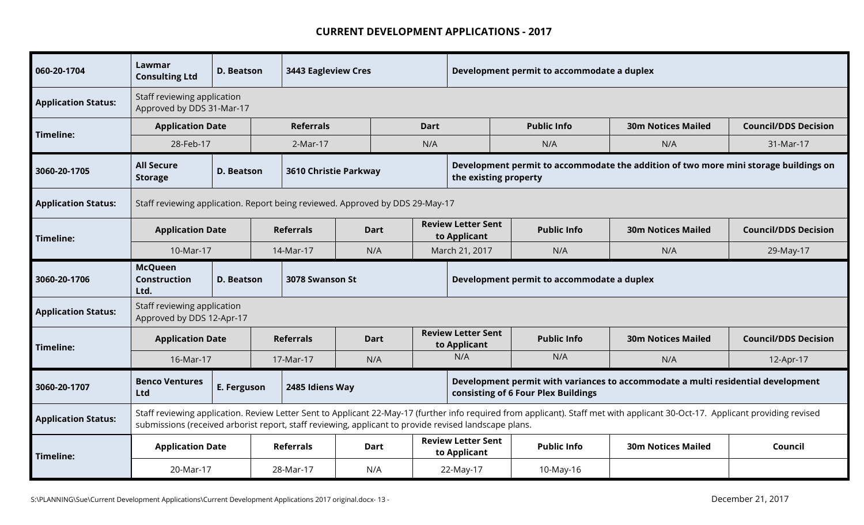| 060-20-1704                | Lawmar<br><b>Consulting Ltd</b>                                                                                                                                                                                                                                                         | D. Beatson        | <b>3443 Eagleview Cres</b> |                                                                               |             | Development permit to accommodate a duplex |                                            |                                                                                      |                             |  |  |
|----------------------------|-----------------------------------------------------------------------------------------------------------------------------------------------------------------------------------------------------------------------------------------------------------------------------------------|-------------------|----------------------------|-------------------------------------------------------------------------------|-------------|--------------------------------------------|--------------------------------------------|--------------------------------------------------------------------------------------|-----------------------------|--|--|
| <b>Application Status:</b> | Staff reviewing application<br>Approved by DDS 31-Mar-17                                                                                                                                                                                                                                |                   |                            |                                                                               |             |                                            |                                            |                                                                                      |                             |  |  |
|                            | <b>Application Date</b>                                                                                                                                                                                                                                                                 |                   | <b>Referrals</b>           |                                                                               | <b>Dart</b> |                                            | <b>Public Info</b>                         | <b>30m Notices Mailed</b>                                                            | <b>Council/DDS Decision</b> |  |  |
| Timeline:                  | 28-Feb-17                                                                                                                                                                                                                                                                               |                   | 2-Mar-17                   |                                                                               | N/A         |                                            | N/A                                        | N/A                                                                                  | 31-Mar-17                   |  |  |
| 3060-20-1705               | <b>All Secure</b><br><b>Storage</b>                                                                                                                                                                                                                                                     | <b>D. Beatson</b> | 3610 Christie Parkway      |                                                                               |             | the existing property                      |                                            | Development permit to accommodate the addition of two more mini storage buildings on |                             |  |  |
| <b>Application Status:</b> |                                                                                                                                                                                                                                                                                         |                   |                            | Staff reviewing application. Report being reviewed. Approved by DDS 29-May-17 |             |                                            |                                            |                                                                                      |                             |  |  |
| Timeline:                  | <b>Application Date</b>                                                                                                                                                                                                                                                                 |                   | <b>Referrals</b>           | <b>Dart</b>                                                                   |             | <b>Review Letter Sent</b><br>to Applicant  | <b>Public Info</b>                         | <b>30m Notices Mailed</b>                                                            | <b>Council/DDS Decision</b> |  |  |
|                            | 10-Mar-17                                                                                                                                                                                                                                                                               |                   | 14-Mar-17                  | N/A                                                                           |             | March 21, 2017                             | N/A                                        | N/A                                                                                  | 29-May-17                   |  |  |
| 3060-20-1706               | <b>McQueen</b><br><b>Construction</b><br>Ltd.                                                                                                                                                                                                                                           | <b>D. Beatson</b> | 3078 Swanson St            |                                                                               |             |                                            | Development permit to accommodate a duplex |                                                                                      |                             |  |  |
| <b>Application Status:</b> | Staff reviewing application<br>Approved by DDS 12-Apr-17                                                                                                                                                                                                                                |                   |                            |                                                                               |             |                                            |                                            |                                                                                      |                             |  |  |
| Timeline:                  | <b>Application Date</b>                                                                                                                                                                                                                                                                 |                   | <b>Referrals</b>           | <b>Dart</b>                                                                   |             | <b>Review Letter Sent</b><br>to Applicant  | <b>Public Info</b>                         | <b>30m Notices Mailed</b>                                                            | <b>Council/DDS Decision</b> |  |  |
|                            | 16-Mar-17                                                                                                                                                                                                                                                                               |                   | 17-Mar-17                  | N/A                                                                           |             | N/A                                        | N/A                                        | N/A                                                                                  | 12-Apr-17                   |  |  |
| 3060-20-1707               | <b>Benco Ventures</b><br>Ltd                                                                                                                                                                                                                                                            | E. Ferguson       | 2485 Idiens Way            |                                                                               |             |                                            | consisting of 6 Four Plex Buildings        | Development permit with variances to accommodate a multi residential development     |                             |  |  |
| <b>Application Status:</b> | Staff reviewing application. Review Letter Sent to Applicant 22-May-17 (further info required from applicant). Staff met with applicant 30-Oct-17. Applicant providing revised<br>submissions (received arborist report, staff reviewing, applicant to provide revised landscape plans. |                   |                            |                                                                               |             |                                            |                                            |                                                                                      |                             |  |  |
| Timeline:                  | <b>Application Date</b><br><b>Referrals</b><br>Dart                                                                                                                                                                                                                                     |                   |                            |                                                                               |             | <b>Review Letter Sent</b><br>to Applicant  | <b>Public Info</b>                         | <b>30m Notices Mailed</b>                                                            | Council                     |  |  |
|                            | 20-Mar-17                                                                                                                                                                                                                                                                               |                   | 28-Mar-17                  | N/A                                                                           |             | 22-May-17                                  | 10-May-16                                  |                                                                                      |                             |  |  |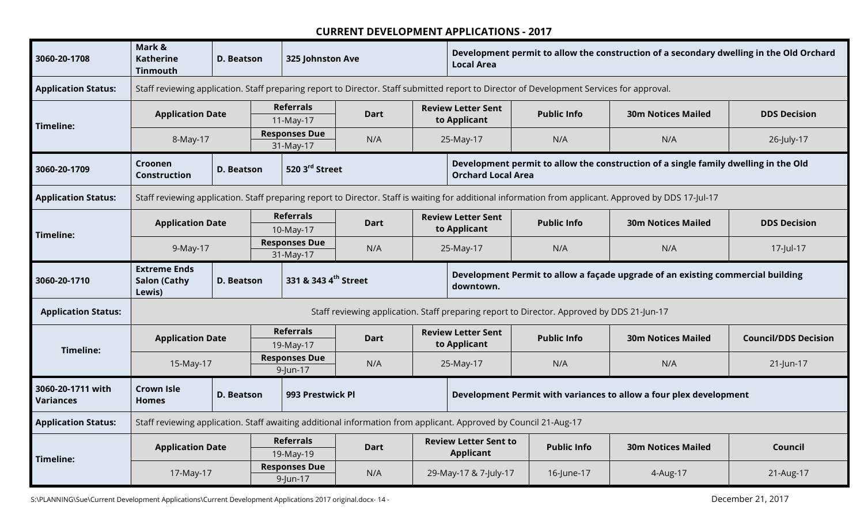| 3060-20-1708                   | Mark &<br><b>Katherine</b><br><b>Tinmouth</b>                                                                    | <b>D. Beatson</b> |  | 325 Johnston Ave                  |             |                                                                                                                  | Development permit to allow the construction of a secondary dwelling in the Old Orchard<br><b>Local Area</b>                              |                                                                                            |                                                                                                                                                        |                             |  |  |  |
|--------------------------------|------------------------------------------------------------------------------------------------------------------|-------------------|--|-----------------------------------|-------------|------------------------------------------------------------------------------------------------------------------|-------------------------------------------------------------------------------------------------------------------------------------------|--------------------------------------------------------------------------------------------|--------------------------------------------------------------------------------------------------------------------------------------------------------|-----------------------------|--|--|--|
| <b>Application Status:</b>     |                                                                                                                  |                   |  |                                   |             |                                                                                                                  | Staff reviewing application. Staff preparing report to Director. Staff submitted report to Director of Development Services for approval. |                                                                                            |                                                                                                                                                        |                             |  |  |  |
|                                | <b>Application Date</b>                                                                                          |                   |  | <b>Referrals</b><br>11-May-17     | <b>Dart</b> | <b>Review Letter Sent</b><br>to Applicant                                                                        |                                                                                                                                           | <b>Public Info</b>                                                                         | <b>30m Notices Mailed</b>                                                                                                                              | <b>DDS Decision</b>         |  |  |  |
| Timeline:                      | 8-May-17                                                                                                         |                   |  | <b>Responses Due</b><br>31-May-17 | N/A         | N/A<br>N/A<br>25-May-17                                                                                          |                                                                                                                                           |                                                                                            |                                                                                                                                                        | 26-July-17                  |  |  |  |
| 3060-20-1709                   | Croonen<br><b>Construction</b>                                                                                   | <b>D. Beatson</b> |  | 520 3 <sup>rd</sup> Street        |             | Development permit to allow the construction of a single family dwelling in the Old<br><b>Orchard Local Area</b> |                                                                                                                                           |                                                                                            |                                                                                                                                                        |                             |  |  |  |
| <b>Application Status:</b>     |                                                                                                                  |                   |  |                                   |             |                                                                                                                  |                                                                                                                                           |                                                                                            | Staff reviewing application. Staff preparing report to Director. Staff is waiting for additional information from applicant. Approved by DDS 17-Jul-17 |                             |  |  |  |
|                                | <b>Application Date</b>                                                                                          |                   |  | <b>Referrals</b><br>10-May-17     | <b>Dart</b> | <b>Review Letter Sent</b><br>to Applicant                                                                        |                                                                                                                                           | <b>Public Info</b>                                                                         | <b>30m Notices Mailed</b>                                                                                                                              | <b>DDS Decision</b>         |  |  |  |
| Timeline:                      | 9-May-17                                                                                                         |                   |  | <b>Responses Due</b><br>31-May-17 | N/A         |                                                                                                                  | 25-May-17                                                                                                                                 | N/A                                                                                        | N/A                                                                                                                                                    | 17-Jul-17                   |  |  |  |
| 3060-20-1710                   | <b>Extreme Ends</b><br><b>Salon (Cathy</b><br>Lewis)                                                             | <b>D. Beatson</b> |  | 331 & 343 4 <sup>th</sup> Street  |             |                                                                                                                  | downtown.                                                                                                                                 |                                                                                            | Development Permit to allow a façade upgrade of an existing commercial building                                                                        |                             |  |  |  |
| <b>Application Status:</b>     |                                                                                                                  |                   |  |                                   |             |                                                                                                                  |                                                                                                                                           | Staff reviewing application. Staff preparing report to Director. Approved by DDS 21-Jun-17 |                                                                                                                                                        |                             |  |  |  |
| Timeline:                      | <b>Application Date</b>                                                                                          |                   |  | <b>Referrals</b><br>19-May-17     | <b>Dart</b> |                                                                                                                  | <b>Review Letter Sent</b><br>to Applicant                                                                                                 | <b>Public Info</b>                                                                         | <b>30m Notices Mailed</b>                                                                                                                              | <b>Council/DDS Decision</b> |  |  |  |
|                                | 15-May-17                                                                                                        |                   |  | <b>Responses Due</b><br>9-Jun-17  | N/A         |                                                                                                                  | 25-May-17                                                                                                                                 | N/A                                                                                        | N/A                                                                                                                                                    | 21-Jun-17                   |  |  |  |
| 3060-20-1711 with<br>Variances | <b>Crown Isle</b><br><b>Homes</b>                                                                                | D. Beatson        |  | 993 Prestwick Pl                  |             |                                                                                                                  |                                                                                                                                           |                                                                                            | Development Permit with variances to allow a four plex development                                                                                     |                             |  |  |  |
| <b>Application Status:</b>     | Staff reviewing application. Staff awaiting additional information from applicant. Approved by Council 21-Aug-17 |                   |  |                                   |             |                                                                                                                  |                                                                                                                                           |                                                                                            |                                                                                                                                                        |                             |  |  |  |
|                                | <b>Application Date</b>                                                                                          |                   |  | <b>Referrals</b><br>19-May-19     | <b>Dart</b> |                                                                                                                  | <b>Review Letter Sent to</b><br><b>Applicant</b>                                                                                          | <b>Public Info</b>                                                                         | <b>30m Notices Mailed</b>                                                                                                                              | Council                     |  |  |  |
| Timeline:                      | <b>Responses Due</b><br>N/A<br>17-May-17<br>9-Jun-17                                                             |                   |  |                                   |             | 29-May-17 & 7-July-17                                                                                            | 16-June-17                                                                                                                                | 4-Aug-17                                                                                   | 21-Aug-17                                                                                                                                              |                             |  |  |  |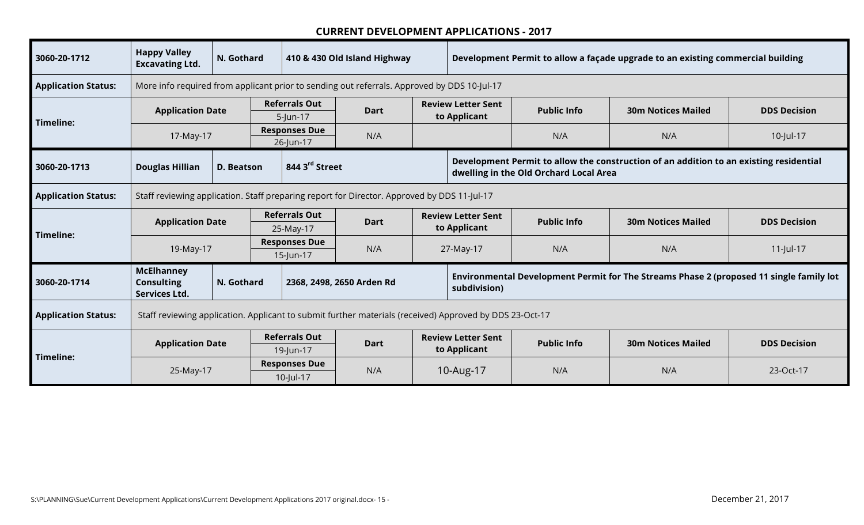| 3060-20-1712               | <b>Happy Valley</b><br><b>Excavating Ltd.</b>                  | N. Gothard                                       |                                   |                                                                                             | 410 & 430 Old Island Highway                                                                            |           | Development Permit to allow a façade upgrade to an existing commercial building |                                        |                                                                                         |                     |  |
|----------------------------|----------------------------------------------------------------|--------------------------------------------------|-----------------------------------|---------------------------------------------------------------------------------------------|---------------------------------------------------------------------------------------------------------|-----------|---------------------------------------------------------------------------------|----------------------------------------|-----------------------------------------------------------------------------------------|---------------------|--|
| <b>Application Status:</b> |                                                                |                                                  |                                   |                                                                                             | More info required from applicant prior to sending out referrals. Approved by DDS 10-Jul-17             |           |                                                                                 |                                        |                                                                                         |                     |  |
| Timeline:                  | <b>Application Date</b>                                        |                                                  |                                   | <b>Referrals Out</b><br>$5$ -Jun-17                                                         | <b>Dart</b>                                                                                             |           | <b>Review Letter Sent</b><br>to Applicant                                       | <b>Public Info</b>                     | <b>30m Notices Mailed</b>                                                               | <b>DDS Decision</b> |  |
|                            | 17-May-17                                                      |                                                  |                                   | <b>Responses Due</b><br>26-Jun-17                                                           | N/A                                                                                                     |           |                                                                                 | N/A                                    | N/A                                                                                     | 10-Jul-17           |  |
| 3060-20-1713               | <b>Douglas Hillian</b>                                         | <b>D. Beatson</b>                                |                                   | 844 3 <sup>rd</sup> Street                                                                  |                                                                                                         |           |                                                                                 | dwelling in the Old Orchard Local Area | Development Permit to allow the construction of an addition to an existing residential  |                     |  |
| <b>Application Status:</b> |                                                                |                                                  |                                   | Staff reviewing application. Staff preparing report for Director. Approved by DDS 11-Jul-17 |                                                                                                         |           |                                                                                 |                                        |                                                                                         |                     |  |
|                            | <b>Application Date</b>                                        |                                                  |                                   | <b>Referrals Out</b><br>25-May-17                                                           | <b>Dart</b>                                                                                             |           | <b>Review Letter Sent</b><br>to Applicant                                       | <b>Public Info</b>                     | <b>30m Notices Mailed</b>                                                               | <b>DDS Decision</b> |  |
| Timeline:                  | 19-May-17                                                      |                                                  | <b>Responses Due</b><br>15-Jun-17 |                                                                                             | N/A                                                                                                     |           | 27-May-17                                                                       | N/A                                    | N/A                                                                                     | $11$ -Jul-17        |  |
| 3060-20-1714               | <b>McElhanney</b><br><b>Consulting</b><br><b>Services Ltd.</b> | N. Gothard                                       |                                   |                                                                                             | 2368, 2498, 2650 Arden Rd                                                                               |           | subdivision)                                                                    |                                        | Environmental Development Permit for The Streams Phase 2 (proposed 11 single family lot |                     |  |
| <b>Application Status:</b> |                                                                |                                                  |                                   |                                                                                             | Staff reviewing application. Applicant to submit further materials (received) Approved by DDS 23-Oct-17 |           |                                                                                 |                                        |                                                                                         |                     |  |
|                            | <b>Application Date</b>                                        | <b>Referrals Out</b><br><b>Dart</b><br>19-Jun-17 |                                   |                                                                                             |                                                                                                         |           | <b>Review Letter Sent</b><br>to Applicant                                       | <b>Public Info</b>                     | <b>30m Notices Mailed</b>                                                               | <b>DDS Decision</b> |  |
| Timeline:                  | <b>Responses Due</b><br>N/A<br>25-May-17<br>10-Jul-17          |                                                  |                                   |                                                                                             |                                                                                                         | 10-Aug-17 | N/A                                                                             | N/A                                    | 23-Oct-17                                                                               |                     |  |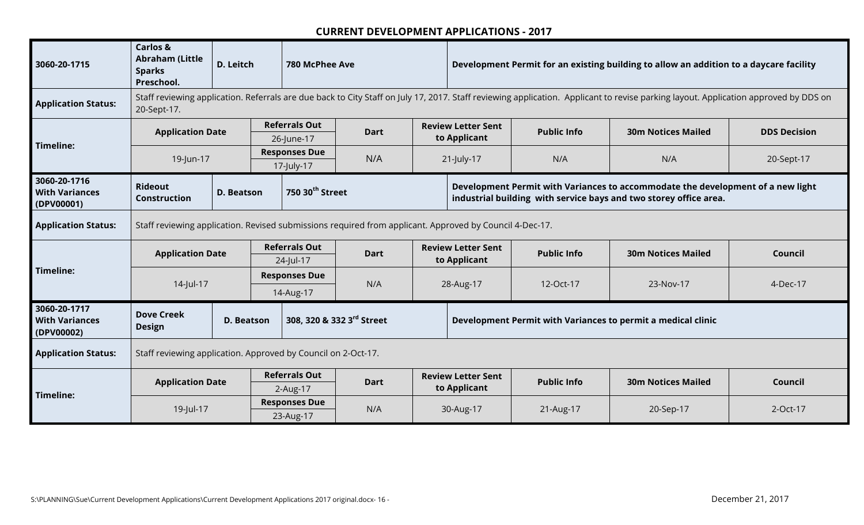| 3060-20-1715                                        | <b>Carlos &amp;</b><br><b>Abraham (Little</b><br><b>Sparks</b><br>Preschool. | D. Leitch         |                                    | 780 McPhee Ave                     |                                                                                                                                                                                     |                                                                                                                                                      | Development Permit for an existing building to allow an addition to a daycare facility |                    |                                                              |                     |  |  |  |
|-----------------------------------------------------|------------------------------------------------------------------------------|-------------------|------------------------------------|------------------------------------|-------------------------------------------------------------------------------------------------------------------------------------------------------------------------------------|------------------------------------------------------------------------------------------------------------------------------------------------------|----------------------------------------------------------------------------------------|--------------------|--------------------------------------------------------------|---------------------|--|--|--|
| <b>Application Status:</b>                          | 20-Sept-17.                                                                  |                   |                                    |                                    | Staff reviewing application. Referrals are due back to City Staff on July 17, 2017. Staff reviewing application. Applicant to revise parking layout. Application approved by DDS on |                                                                                                                                                      |                                                                                        |                    |                                                              |                     |  |  |  |
| Timeline:                                           | <b>Application Date</b>                                                      |                   |                                    | <b>Referrals Out</b><br>26-June-17 | <b>Dart</b>                                                                                                                                                                         | <b>Review Letter Sent</b><br>to Applicant                                                                                                            |                                                                                        | <b>Public Info</b> | <b>30m Notices Mailed</b>                                    | <b>DDS Decision</b> |  |  |  |
|                                                     | 19-Jun-17                                                                    |                   | <b>Responses Due</b><br>17-July-17 |                                    | N/A                                                                                                                                                                                 | 21-July-17                                                                                                                                           |                                                                                        | N/A                | N/A                                                          | 20-Sept-17          |  |  |  |
| 3060-20-1716<br><b>With Variances</b><br>(DPV00001) | <b>Rideout</b><br><b>Construction</b>                                        | <b>D. Beatson</b> | 750 30 <sup>th</sup> Street        |                                    |                                                                                                                                                                                     | Development Permit with Variances to accommodate the development of a new light<br>industrial building with service bays and two storey office area. |                                                                                        |                    |                                                              |                     |  |  |  |
| <b>Application Status:</b>                          |                                                                              |                   |                                    |                                    | Staff reviewing application. Revised submissions required from applicant. Approved by Council 4-Dec-17.                                                                             |                                                                                                                                                      |                                                                                        |                    |                                                              |                     |  |  |  |
|                                                     | <b>Application Date</b>                                                      |                   |                                    | <b>Referrals Out</b><br>24-Jul-17  | <b>Dart</b>                                                                                                                                                                         |                                                                                                                                                      | <b>Review Letter Sent</b><br>to Applicant                                              | <b>Public Info</b> | <b>30m Notices Mailed</b>                                    | Council             |  |  |  |
| Timeline:                                           | 14-Jul-17                                                                    |                   |                                    | <b>Responses Due</b><br>14-Aug-17  | N/A                                                                                                                                                                                 |                                                                                                                                                      | 28-Aug-17                                                                              | 12-Oct-17          | 23-Nov-17                                                    | 4-Dec-17            |  |  |  |
| 3060-20-1717<br><b>With Variances</b><br>(DPV00002) | <b>Dove Creek</b><br><b>Design</b>                                           | <b>D. Beatson</b> |                                    |                                    | 308, 320 & 332 3rd Street                                                                                                                                                           |                                                                                                                                                      |                                                                                        |                    | Development Permit with Variances to permit a medical clinic |                     |  |  |  |
| <b>Application Status:</b>                          | Staff reviewing application. Approved by Council on 2-Oct-17.                |                   |                                    |                                    |                                                                                                                                                                                     |                                                                                                                                                      |                                                                                        |                    |                                                              |                     |  |  |  |
|                                                     | <b>Application Date</b>                                                      |                   |                                    | <b>Referrals Out</b><br>2-Aug-17   | <b>Dart</b>                                                                                                                                                                         |                                                                                                                                                      | <b>Review Letter Sent</b><br>to Applicant                                              | <b>Public Info</b> | <b>30m Notices Mailed</b>                                    | Council             |  |  |  |
| Timeline:                                           | 19-Jul-17                                                                    |                   |                                    | <b>Responses Due</b><br>23-Aug-17  | N/A                                                                                                                                                                                 |                                                                                                                                                      | 30-Aug-17                                                                              | 21-Aug-17          | 20-Sep-17                                                    | 2-Oct-17            |  |  |  |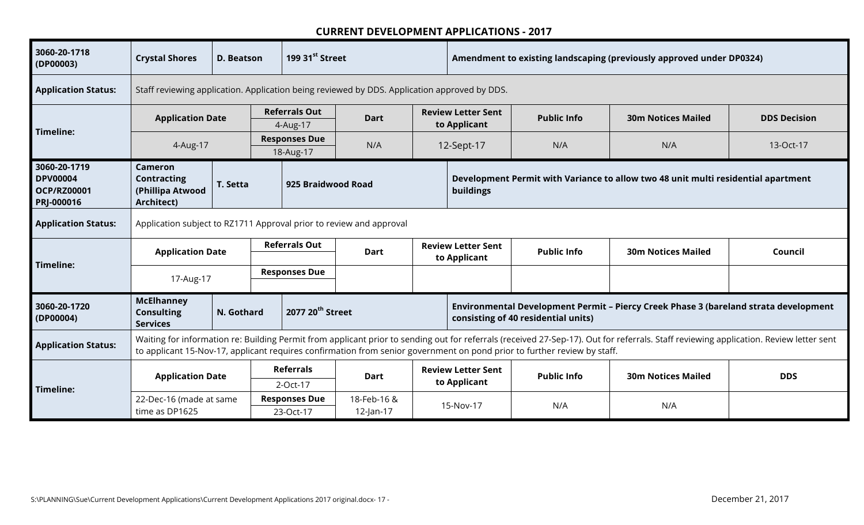| 3060-20-1718<br>(DP00003)                                           | <b>Crystal Shores</b>                                                                                      | D. Beatson | 199 31 <sup>st</sup> Street                                                                  |                                   |             |           | Amendment to existing landscaping (previously approved under DP0324) |                                                                                                                          |                                                                                                                                                                                        |                     |  |
|---------------------------------------------------------------------|------------------------------------------------------------------------------------------------------------|------------|----------------------------------------------------------------------------------------------|-----------------------------------|-------------|-----------|----------------------------------------------------------------------|--------------------------------------------------------------------------------------------------------------------------|----------------------------------------------------------------------------------------------------------------------------------------------------------------------------------------|---------------------|--|
| <b>Application Status:</b>                                          |                                                                                                            |            | Staff reviewing application. Application being reviewed by DDS. Application approved by DDS. |                                   |             |           |                                                                      |                                                                                                                          |                                                                                                                                                                                        |                     |  |
| Timeline:                                                           | <b>Application Date</b>                                                                                    |            |                                                                                              | <b>Referrals Out</b><br>4-Aug-17  | <b>Dart</b> |           | <b>Review Letter Sent</b><br>to Applicant                            | <b>Public Info</b>                                                                                                       | <b>30m Notices Mailed</b>                                                                                                                                                              | <b>DDS Decision</b> |  |
|                                                                     | 4-Aug-17                                                                                                   |            |                                                                                              | <b>Responses Due</b><br>18-Aug-17 | N/A         |           | 12-Sept-17                                                           | N/A                                                                                                                      | N/A                                                                                                                                                                                    | 13-Oct-17           |  |
| 3060-20-1719<br><b>DPV00004</b><br><b>OCP/RZ00001</b><br>PRJ-000016 | <b>Cameron</b><br><b>Contracting</b><br>(Phillipa Atwood<br>Architect)                                     | T. Setta   |                                                                                              | 925 Braidwood Road                |             |           | buildings                                                            |                                                                                                                          | Development Permit with Variance to allow two 48 unit multi residential apartment                                                                                                      |                     |  |
| <b>Application Status:</b>                                          | Application subject to RZ1711 Approval prior to review and approval                                        |            |                                                                                              |                                   |             |           |                                                                      |                                                                                                                          |                                                                                                                                                                                        |                     |  |
|                                                                     | <b>Application Date</b>                                                                                    |            | <b>Referrals Out</b><br><b>Dart</b>                                                          |                                   |             |           | <b>Review Letter Sent</b><br>to Applicant                            | <b>Public Info</b>                                                                                                       | <b>30m Notices Mailed</b>                                                                                                                                                              | Council             |  |
| Timeline:                                                           | 17-Aug-17                                                                                                  |            |                                                                                              | <b>Responses Due</b>              |             |           |                                                                      |                                                                                                                          |                                                                                                                                                                                        |                     |  |
| 3060-20-1720<br>(DP00004)                                           | <b>McElhanney</b><br><b>Consulting</b><br><b>Services</b>                                                  | N. Gothard |                                                                                              | 2077 20 <sup>th</sup> Street      |             |           |                                                                      | consisting of 40 residential units)                                                                                      | Environmental Development Permit - Piercy Creek Phase 3 (bareland strata development                                                                                                   |                     |  |
| <b>Application Status:</b>                                          |                                                                                                            |            |                                                                                              |                                   |             |           |                                                                      | to applicant 15-Nov-17, applicant requires confirmation from senior government on pond prior to further review by staff. | Waiting for information re: Building Permit from applicant prior to sending out for referrals (received 27-Sep-17). Out for referrals. Staff reviewing application. Review letter sent |                     |  |
| Timeline:                                                           | <b>Referrals</b><br><b>Application Date</b><br><b>Dart</b><br>2-Oct-17                                     |            |                                                                                              |                                   |             |           | <b>Review Letter Sent</b><br>to Applicant                            | <b>Public Info</b>                                                                                                       | <b>30m Notices Mailed</b>                                                                                                                                                              | <b>DDS</b>          |  |
|                                                                     | <b>Responses Due</b><br>22-Dec-16 (made at same<br>18-Feb-16 &<br>time as DP1625<br>12-Jan-17<br>23-Oct-17 |            |                                                                                              |                                   |             | 15-Nov-17 | N/A                                                                  | N/A                                                                                                                      |                                                                                                                                                                                        |                     |  |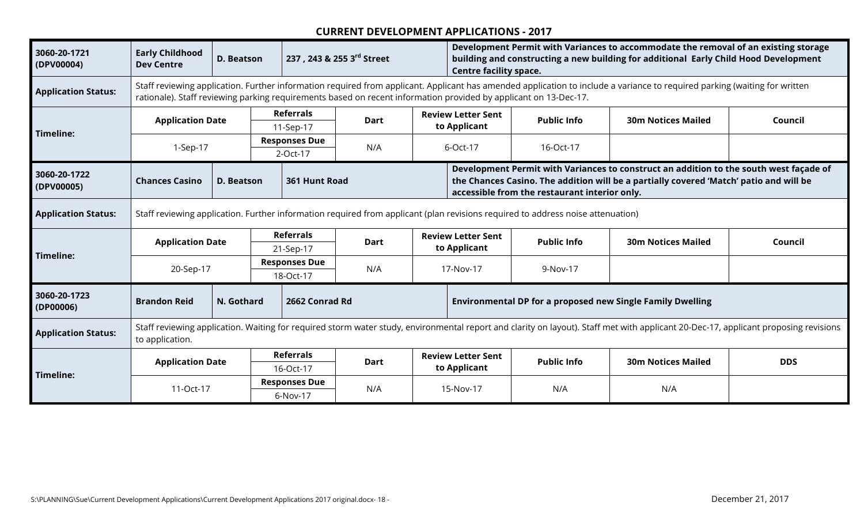| 3060-20-1721<br>(DPV00004) | <b>Early Childhood</b><br><b>Dev Centre</b> | <b>D. Beatson</b>                                                                                                               |                                   | 237, 243 & 255 3rd Street        |             |  | Development Permit with Variances to accommodate the removal of an existing storage<br>building and constructing a new building for additional Early Child Hood Development<br><b>Centre facility space.</b> |                                                                                                                  |                                                                                                                                                                                     |            |  |
|----------------------------|---------------------------------------------|---------------------------------------------------------------------------------------------------------------------------------|-----------------------------------|----------------------------------|-------------|--|--------------------------------------------------------------------------------------------------------------------------------------------------------------------------------------------------------------|------------------------------------------------------------------------------------------------------------------|-------------------------------------------------------------------------------------------------------------------------------------------------------------------------------------|------------|--|
| <b>Application Status:</b> |                                             |                                                                                                                                 |                                   |                                  |             |  |                                                                                                                                                                                                              | rationale). Staff reviewing parking requirements based on recent information provided by applicant on 13-Dec-17. | Staff reviewing application. Further information required from applicant. Applicant has amended application to include a variance to required parking (waiting for written          |            |  |
| Timeline:                  | <b>Application Date</b>                     |                                                                                                                                 |                                   | <b>Referrals</b><br>11-Sep-17    | <b>Dart</b> |  | <b>Review Letter Sent</b><br>to Applicant                                                                                                                                                                    | <b>Public Info</b>                                                                                               | <b>30m Notices Mailed</b>                                                                                                                                                           | Council    |  |
|                            | 1-Sep-17                                    |                                                                                                                                 |                                   | <b>Responses Due</b><br>2-Oct-17 | N/A         |  | 6-Oct-17                                                                                                                                                                                                     | 16-Oct-17                                                                                                        |                                                                                                                                                                                     |            |  |
| 3060-20-1722<br>(DPV00005) | <b>Chances Casino</b>                       | <b>D. Beatson</b>                                                                                                               |                                   | 361 Hunt Road                    |             |  |                                                                                                                                                                                                              | accessible from the restaurant interior only.                                                                    | Development Permit with Variances to construct an addition to the south west façade of<br>the Chances Casino. The addition will be a partially covered 'Match' patio and will be    |            |  |
| <b>Application Status:</b> |                                             | Staff reviewing application. Further information required from applicant (plan revisions required to address noise attenuation) |                                   |                                  |             |  |                                                                                                                                                                                                              |                                                                                                                  |                                                                                                                                                                                     |            |  |
| Timeline:                  | <b>Application Date</b>                     |                                                                                                                                 |                                   | <b>Referrals</b><br>21-Sep-17    | <b>Dart</b> |  | <b>Review Letter Sent</b><br>to Applicant                                                                                                                                                                    | <b>Public Info</b>                                                                                               | <b>30m Notices Mailed</b>                                                                                                                                                           | Council    |  |
|                            | 20-Sep-17                                   |                                                                                                                                 | <b>Responses Due</b><br>18-Oct-17 |                                  | N/A         |  | 17-Nov-17                                                                                                                                                                                                    | 9-Nov-17                                                                                                         |                                                                                                                                                                                     |            |  |
| 3060-20-1723<br>(DP00006)  | <b>Brandon Reid</b>                         | N. Gothard                                                                                                                      |                                   | 2662 Conrad Rd                   |             |  |                                                                                                                                                                                                              |                                                                                                                  | <b>Environmental DP for a proposed new Single Family Dwelling</b>                                                                                                                   |            |  |
| <b>Application Status:</b> | to application.                             |                                                                                                                                 |                                   |                                  |             |  |                                                                                                                                                                                                              |                                                                                                                  | Staff reviewing application. Waiting for required storm water study, environmental report and clarity on layout). Staff met with applicant 20-Dec-17, applicant proposing revisions |            |  |
|                            | <b>Application Date</b>                     |                                                                                                                                 | <b>Referrals</b><br>16-Oct-17     |                                  | <b>Dart</b> |  | <b>Review Letter Sent</b><br>to Applicant                                                                                                                                                                    | <b>Public Info</b>                                                                                               | <b>30m Notices Mailed</b>                                                                                                                                                           | <b>DDS</b> |  |
| Timeline:                  | 11-Oct-17                                   |                                                                                                                                 |                                   | <b>Responses Due</b><br>6-Nov-17 | N/A         |  | 15-Nov-17                                                                                                                                                                                                    | N/A                                                                                                              | N/A                                                                                                                                                                                 |            |  |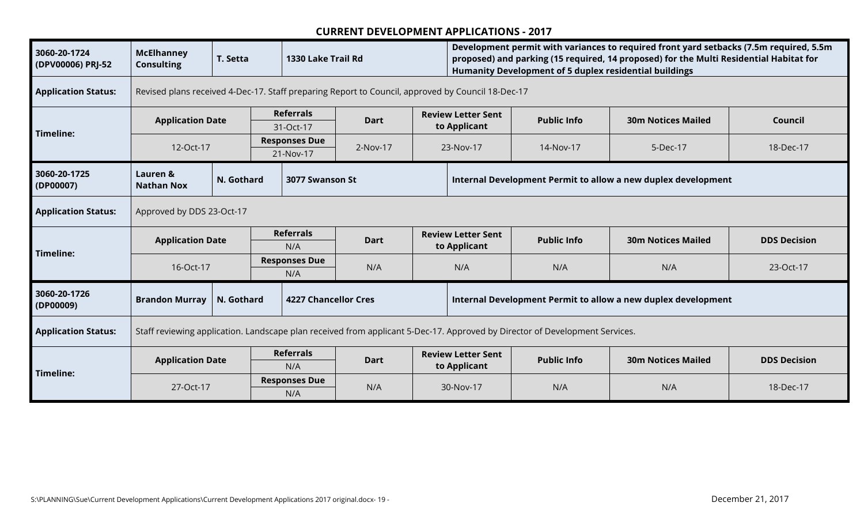| 3060-20-1724<br>(DPV00006) PRJ-52 | <b>McElhanney</b><br><b>Consulting</b>                                                                                      | T. Setta   |                             | 1330 Lake Trail Rd                                                                                |             |                                                               | Development permit with variances to required front yard setbacks (7.5m required, 5.5m<br>proposed) and parking (15 required, 14 proposed) for the Multi Residential Habitat for<br>Humanity Development of 5 duplex residential buildings |                    |                                                               |                     |  |  |
|-----------------------------------|-----------------------------------------------------------------------------------------------------------------------------|------------|-----------------------------|---------------------------------------------------------------------------------------------------|-------------|---------------------------------------------------------------|--------------------------------------------------------------------------------------------------------------------------------------------------------------------------------------------------------------------------------------------|--------------------|---------------------------------------------------------------|---------------------|--|--|
| <b>Application Status:</b>        |                                                                                                                             |            |                             | Revised plans received 4-Dec-17. Staff preparing Report to Council, approved by Council 18-Dec-17 |             |                                                               |                                                                                                                                                                                                                                            |                    |                                                               |                     |  |  |
| Timeline:                         | <b>Application Date</b>                                                                                                     |            |                             | <b>Referrals</b><br>31-Oct-17                                                                     | Dart        |                                                               | <b>Review Letter Sent</b><br>to Applicant                                                                                                                                                                                                  | <b>Public Info</b> | <b>30m Notices Mailed</b>                                     | Council             |  |  |
|                                   | 12-Oct-17                                                                                                                   |            |                             | <b>Responses Due</b><br>2-Nov-17<br>21-Nov-17                                                     |             | 23-Nov-17                                                     |                                                                                                                                                                                                                                            | 14-Nov-17          | 5-Dec-17                                                      | 18-Dec-17           |  |  |
| 3060-20-1725<br>(DP00007)         | Lauren &<br><b>Nathan Nox</b>                                                                                               | N. Gothard |                             | 3077 Swanson St                                                                                   |             |                                                               |                                                                                                                                                                                                                                            |                    | Internal Development Permit to allow a new duplex development |                     |  |  |
| <b>Application Status:</b>        | Approved by DDS 23-Oct-17                                                                                                   |            |                             |                                                                                                   |             |                                                               |                                                                                                                                                                                                                                            |                    |                                                               |                     |  |  |
| Timeline:                         | <b>Application Date</b>                                                                                                     |            | <b>Referrals</b><br>N/A     |                                                                                                   | <b>Dart</b> |                                                               | <b>Review Letter Sent</b><br>to Applicant                                                                                                                                                                                                  | <b>Public Info</b> | <b>30m Notices Mailed</b>                                     | <b>DDS Decision</b> |  |  |
|                                   | 16-Oct-17                                                                                                                   |            | <b>Responses Due</b><br>N/A |                                                                                                   | N/A         |                                                               | N/A                                                                                                                                                                                                                                        | N/A                | N/A                                                           | 23-Oct-17           |  |  |
| 3060-20-1726<br>(DP00009)         | <b>Brandon Murray</b>                                                                                                       | N. Gothard |                             | <b>4227 Chancellor Cres</b>                                                                       |             | Internal Development Permit to allow a new duplex development |                                                                                                                                                                                                                                            |                    |                                                               |                     |  |  |
| <b>Application Status:</b>        | Staff reviewing application. Landscape plan received from applicant 5-Dec-17. Approved by Director of Development Services. |            |                             |                                                                                                   |             |                                                               |                                                                                                                                                                                                                                            |                    |                                                               |                     |  |  |
|                                   | <b>Application Date</b>                                                                                                     |            |                             | <b>Referrals</b><br>N/A                                                                           | <b>Dart</b> |                                                               | <b>Review Letter Sent</b><br>to Applicant                                                                                                                                                                                                  | <b>Public Info</b> | <b>30m Notices Mailed</b>                                     | <b>DDS Decision</b> |  |  |
| Timeline:                         | 27-Oct-17                                                                                                                   |            |                             | <b>Responses Due</b><br>N/A                                                                       | N/A         | 30-Nov-17                                                     |                                                                                                                                                                                                                                            | N/A                | N/A                                                           | 18-Dec-17           |  |  |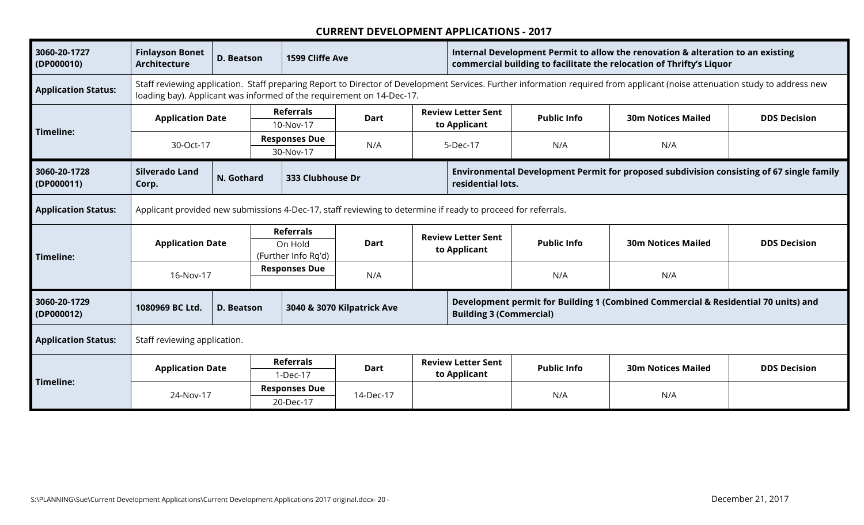| 3060-20-1727<br>(DP000010) | <b>Finlayson Bonet</b><br><b>Architecture</b>                          | <b>D. Beatson</b>                                                                                            | 1599 Cliffe Ave                                    |             |  | Internal Development Permit to allow the renovation & alteration to an existing<br>commercial building to facilitate the relocation of Thrifty's Liquor |                    |                                                                                                                                                                              |                     |  |
|----------------------------|------------------------------------------------------------------------|--------------------------------------------------------------------------------------------------------------|----------------------------------------------------|-------------|--|---------------------------------------------------------------------------------------------------------------------------------------------------------|--------------------|------------------------------------------------------------------------------------------------------------------------------------------------------------------------------|---------------------|--|
| <b>Application Status:</b> | loading bay). Applicant was informed of the requirement on 14-Dec-17.  |                                                                                                              |                                                    |             |  |                                                                                                                                                         |                    | Staff reviewing application. Staff preparing Report to Director of Development Services. Further information required from applicant (noise attenuation study to address new |                     |  |
| Timeline:                  | <b>Application Date</b>                                                |                                                                                                              | <b>Referrals</b><br>10-Nov-17                      | <b>Dart</b> |  | <b>Review Letter Sent</b><br>to Applicant                                                                                                               | <b>Public Info</b> | <b>30m Notices Mailed</b>                                                                                                                                                    | <b>DDS Decision</b> |  |
|                            | 30-Oct-17                                                              |                                                                                                              | <b>Responses Due</b><br>30-Nov-17                  | N/A         |  | 5-Dec-17                                                                                                                                                | N/A                | N/A                                                                                                                                                                          |                     |  |
| 3060-20-1728<br>(DP000011) | <b>Silverado Land</b><br>Corp.                                         | N. Gothard                                                                                                   | 333 Clubhouse Dr                                   |             |  | residential lots.                                                                                                                                       |                    | Environmental Development Permit for proposed subdivision consisting of 67 single family                                                                                     |                     |  |
| <b>Application Status:</b> |                                                                        | Applicant provided new submissions 4-Dec-17, staff reviewing to determine if ready to proceed for referrals. |                                                    |             |  |                                                                                                                                                         |                    |                                                                                                                                                                              |                     |  |
| Timeline:                  | <b>Application Date</b>                                                |                                                                                                              | <b>Referrals</b><br>On Hold<br>(Further Info Rq'd) | <b>Dart</b> |  | <b>Review Letter Sent</b><br>to Applicant                                                                                                               | <b>Public Info</b> | <b>30m Notices Mailed</b>                                                                                                                                                    | <b>DDS Decision</b> |  |
|                            | 16-Nov-17                                                              |                                                                                                              | <b>Responses Due</b>                               | N/A         |  |                                                                                                                                                         | N/A                | N/A                                                                                                                                                                          |                     |  |
| 3060-20-1729<br>(DP000012) | 1080969 BC Ltd.                                                        | D. Beatson                                                                                                   | 3040 & 3070 Kilpatrick Ave                         |             |  | <b>Building 3 (Commercial)</b>                                                                                                                          |                    | Development permit for Building 1 (Combined Commercial & Residential 70 units) and                                                                                           |                     |  |
| <b>Application Status:</b> | Staff reviewing application.                                           |                                                                                                              |                                                    |             |  |                                                                                                                                                         |                    |                                                                                                                                                                              |                     |  |
| Timeline:                  | <b>Referrals</b><br><b>Application Date</b><br><b>Dart</b><br>1-Dec-17 |                                                                                                              |                                                    |             |  | <b>Review Letter Sent</b><br>to Applicant                                                                                                               | <b>Public Info</b> | <b>30m Notices Mailed</b>                                                                                                                                                    | <b>DDS Decision</b> |  |
|                            | 24-Nov-17                                                              |                                                                                                              | <b>Responses Due</b><br>20-Dec-17                  | 14-Dec-17   |  |                                                                                                                                                         | N/A                | N/A                                                                                                                                                                          |                     |  |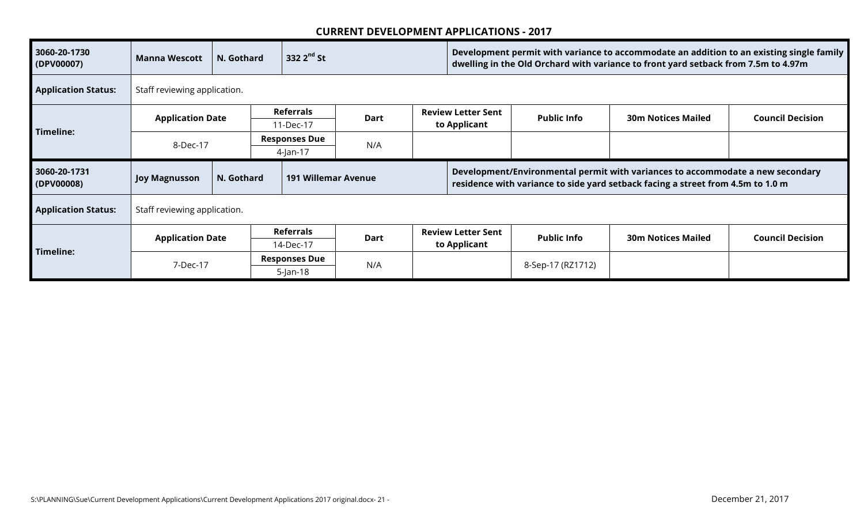| 3060-20-1730<br>(DPV00007) | <b>Manna Wescott</b>         | N. Gothard | 332 $2nd$ St                      |             |  |                                           | Development permit with variance to accommodate an addition to an existing single family<br>dwelling in the Old Orchard with variance to front yard setback from 7.5m to 4.97m |                                                                                                                                                                   |                         |  |  |
|----------------------------|------------------------------|------------|-----------------------------------|-------------|--|-------------------------------------------|--------------------------------------------------------------------------------------------------------------------------------------------------------------------------------|-------------------------------------------------------------------------------------------------------------------------------------------------------------------|-------------------------|--|--|
| <b>Application Status:</b> | Staff reviewing application. |            |                                   |             |  |                                           |                                                                                                                                                                                |                                                                                                                                                                   |                         |  |  |
| Timeline:                  | <b>Application Date</b>      |            | <b>Referrals</b><br>11-Dec-17     | <b>Dart</b> |  | <b>Review Letter Sent</b><br>to Applicant | <b>Public Info</b>                                                                                                                                                             | <b>30m Notices Mailed</b>                                                                                                                                         | <b>Council Decision</b> |  |  |
|                            | 8-Dec-17                     |            | <b>Responses Due</b><br>4-Jan-17  | N/A         |  |                                           |                                                                                                                                                                                |                                                                                                                                                                   |                         |  |  |
| 3060-20-1731<br>(DPV00008) | <b>Joy Magnusson</b>         | N. Gothard | <b>191 Willemar Avenue</b>        |             |  |                                           |                                                                                                                                                                                | Development/Environmental permit with variances to accommodate a new secondary<br>residence with variance to side yard setback facing a street from 4.5m to 1.0 m |                         |  |  |
| <b>Application Status:</b> | Staff reviewing application. |            |                                   |             |  |                                           |                                                                                                                                                                                |                                                                                                                                                                   |                         |  |  |
|                            | <b>Application Date</b>      |            | Referrals                         | Dart        |  | <b>Review Letter Sent</b>                 | <b>Public Info</b>                                                                                                                                                             | <b>30m Notices Mailed</b>                                                                                                                                         | <b>Council Decision</b> |  |  |
| Timeline:                  |                              |            | 14-Dec-17<br><b>Responses Due</b> |             |  | to Applicant                              |                                                                                                                                                                                |                                                                                                                                                                   |                         |  |  |
|                            | 7-Dec-17                     |            | $5$ -Jan-18                       | N/A         |  |                                           | 8-Sep-17 (RZ1712)                                                                                                                                                              |                                                                                                                                                                   |                         |  |  |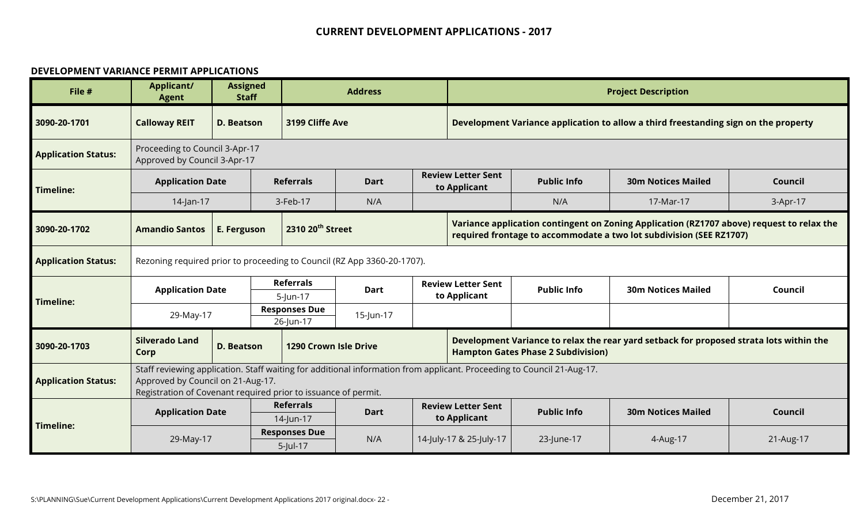#### **DEVELOPMENT VARIANCE PERMIT APPLICATIONS**

| File #                     | <b>Applicant/</b><br><b>Agent</b>                                                                                                                                                                                             | <b>Assigned</b><br><b>Staff</b> |  |                                   | <b>Address</b> |  | <b>Project Description</b>                                                                                                                                       |                                           |                                                                                         |           |  |  |
|----------------------------|-------------------------------------------------------------------------------------------------------------------------------------------------------------------------------------------------------------------------------|---------------------------------|--|-----------------------------------|----------------|--|------------------------------------------------------------------------------------------------------------------------------------------------------------------|-------------------------------------------|-----------------------------------------------------------------------------------------|-----------|--|--|
| 3090-20-1701               | <b>Calloway REIT</b>                                                                                                                                                                                                          | <b>D. Beatson</b>               |  | 3199 Cliffe Ave                   |                |  | Development Variance application to allow a third freestanding sign on the property                                                                              |                                           |                                                                                         |           |  |  |
| <b>Application Status:</b> | Proceeding to Council 3-Apr-17<br>Approved by Council 3-Apr-17                                                                                                                                                                |                                 |  |                                   |                |  |                                                                                                                                                                  |                                           |                                                                                         |           |  |  |
| <b>Timeline:</b>           | <b>Application Date</b>                                                                                                                                                                                                       |                                 |  | <b>Referrals</b>                  | <b>Dart</b>    |  | <b>Review Letter Sent</b><br>to Applicant                                                                                                                        | <b>Public Info</b>                        | <b>30m Notices Mailed</b>                                                               | Council   |  |  |
|                            | 14-Jan-17                                                                                                                                                                                                                     |                                 |  | 3-Feb-17                          | N/A            |  |                                                                                                                                                                  | N/A                                       | 17-Mar-17                                                                               | 3-Apr-17  |  |  |
| 3090-20-1702               | <b>Amandio Santos</b>                                                                                                                                                                                                         | E. Ferguson                     |  | 2310 20 <sup>th</sup> Street      |                |  | Variance application contingent on Zoning Application (RZ1707 above) request to relax the<br>required frontage to accommodate a two lot subdivision (SEE RZ1707) |                                           |                                                                                         |           |  |  |
| <b>Application Status:</b> | Rezoning required prior to proceeding to Council (RZ App 3360-20-1707).                                                                                                                                                       |                                 |  |                                   |                |  |                                                                                                                                                                  |                                           |                                                                                         |           |  |  |
| <b>Timeline:</b>           | <b>Application Date</b>                                                                                                                                                                                                       |                                 |  | <b>Referrals</b><br>5-Jun-17      | <b>Dart</b>    |  | <b>Review Letter Sent</b><br>to Applicant                                                                                                                        | <b>Public Info</b>                        | <b>30m Notices Mailed</b>                                                               | Council   |  |  |
|                            | 29-May-17                                                                                                                                                                                                                     |                                 |  | <b>Responses Due</b><br>26-Jun-17 | 15-Jun-17      |  |                                                                                                                                                                  |                                           |                                                                                         |           |  |  |
| 3090-20-1703               | <b>Silverado Land</b><br>Corp                                                                                                                                                                                                 | D. Beatson                      |  | <b>1290 Crown Isle Drive</b>      |                |  |                                                                                                                                                                  | <b>Hampton Gates Phase 2 Subdivision)</b> | Development Variance to relax the rear yard setback for proposed strata lots within the |           |  |  |
| <b>Application Status:</b> | Staff reviewing application. Staff waiting for additional information from applicant. Proceeding to Council 21-Aug-17.<br>Approved by Council on 21-Aug-17.<br>Registration of Covenant required prior to issuance of permit. |                                 |  |                                   |                |  |                                                                                                                                                                  |                                           |                                                                                         |           |  |  |
|                            | <b>Referrals</b><br><b>Application Date</b><br><b>Dart</b><br>14-Jun-17                                                                                                                                                       |                                 |  |                                   |                |  | <b>Review Letter Sent</b><br>to Applicant                                                                                                                        | <b>Public Info</b>                        | <b>30m Notices Mailed</b>                                                               | Council   |  |  |
| Timeline:                  | <b>Responses Due</b><br>N/A<br>29-May-17<br>5-Jul-17                                                                                                                                                                          |                                 |  |                                   |                |  | 14-July-17 & 25-July-17                                                                                                                                          | 23-June-17                                | 4-Aug-17                                                                                | 21-Aug-17 |  |  |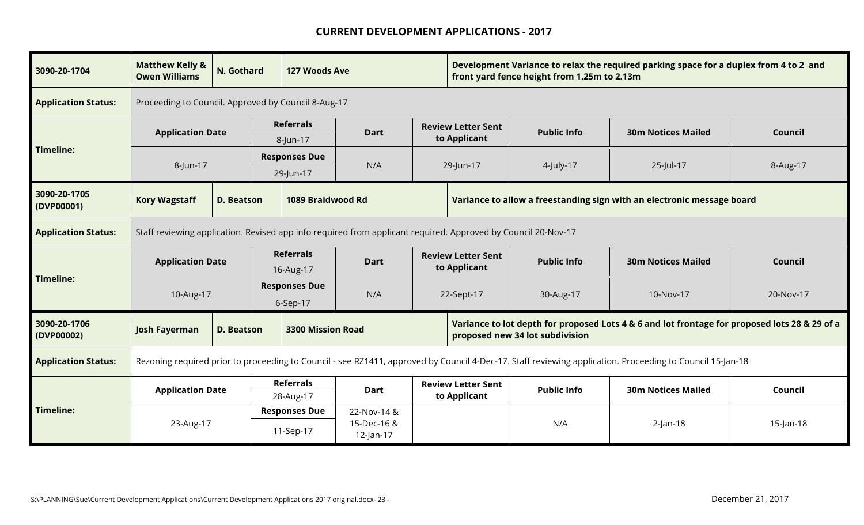| 3090-20-1704               | <b>Matthew Kelly &amp;</b><br><b>Owen Williams</b>                      | N. Gothard                                                                                                    |                                          | 127 Woods Ave                |             |  | Development Variance to relax the required parking space for a duplex from 4 to 2 and<br>front yard fence height from 1.25m to 2.13m |                                 |                                                                                                                                                           |           |  |
|----------------------------|-------------------------------------------------------------------------|---------------------------------------------------------------------------------------------------------------|------------------------------------------|------------------------------|-------------|--|--------------------------------------------------------------------------------------------------------------------------------------|---------------------------------|-----------------------------------------------------------------------------------------------------------------------------------------------------------|-----------|--|
| <b>Application Status:</b> | Proceeding to Council. Approved by Council 8-Aug-17                     |                                                                                                               |                                          |                              |             |  |                                                                                                                                      |                                 |                                                                                                                                                           |           |  |
|                            | <b>Application Date</b>                                                 |                                                                                                               |                                          | <b>Referrals</b><br>8-Jun-17 | <b>Dart</b> |  | <b>Review Letter Sent</b><br>to Applicant                                                                                            | <b>Public Info</b>              | <b>30m Notices Mailed</b>                                                                                                                                 | Council   |  |
| <b>Timeline:</b>           | 8-Jun-17                                                                |                                                                                                               | <b>Responses Due</b><br>N/A<br>29-Jun-17 |                              |             |  | 29-Jun-17<br>25-Jul-17<br>4-July-17                                                                                                  |                                 |                                                                                                                                                           | 8-Aug-17  |  |
| 3090-20-1705<br>(DVP00001) | <b>Kory Wagstaff</b>                                                    | <b>D. Beatson</b>                                                                                             |                                          | 1089 Braidwood Rd            |             |  |                                                                                                                                      |                                 | Variance to allow a freestanding sign with an electronic message board                                                                                    |           |  |
| <b>Application Status:</b> |                                                                         | Staff reviewing application. Revised app info required from applicant required. Approved by Council 20-Nov-17 |                                          |                              |             |  |                                                                                                                                      |                                 |                                                                                                                                                           |           |  |
|                            | <b>Application Date</b>                                                 |                                                                                                               | <b>Referrals</b><br>16-Aug-17            |                              | <b>Dart</b> |  | <b>Review Letter Sent</b><br>to Applicant                                                                                            | <b>Public Info</b>              | <b>30m Notices Mailed</b>                                                                                                                                 | Council   |  |
| <b>Timeline:</b>           | 10-Aug-17                                                               |                                                                                                               | <b>Responses Due</b><br>6-Sep-17         |                              | N/A         |  | 22-Sept-17                                                                                                                           | 30-Aug-17                       | 10-Nov-17                                                                                                                                                 | 20-Nov-17 |  |
| 3090-20-1706<br>(DVP00002) | <b>Josh Fayerman</b>                                                    | <b>D. Beatson</b>                                                                                             |                                          | <b>3300 Mission Road</b>     |             |  |                                                                                                                                      | proposed new 34 lot subdivision | Variance to lot depth for proposed Lots 4 & 6 and lot frontage for proposed lots 28 & 29 of a                                                             |           |  |
| <b>Application Status:</b> |                                                                         |                                                                                                               |                                          |                              |             |  |                                                                                                                                      |                                 | Rezoning required prior to proceeding to Council - see RZ1411, approved by Council 4-Dec-17. Staff reviewing application. Proceeding to Council 15-Jan-18 |           |  |
|                            | <b>Referrals</b><br><b>Application Date</b><br><b>Dart</b><br>28-Aug-17 |                                                                                                               |                                          |                              |             |  | <b>Review Letter Sent</b><br>to Applicant                                                                                            | <b>Public Info</b>              | <b>30m Notices Mailed</b>                                                                                                                                 | Council   |  |
| <b>Timeline:</b>           | 23-Aug-17                                                               | <b>Responses Due</b><br>22-Nov-14 &<br>15-Dec-16 &<br>11-Sep-17<br>12-Jan-17                                  |                                          |                              |             |  | N/A                                                                                                                                  | $2$ -Jan-18                     | $15$ -Jan-18                                                                                                                                              |           |  |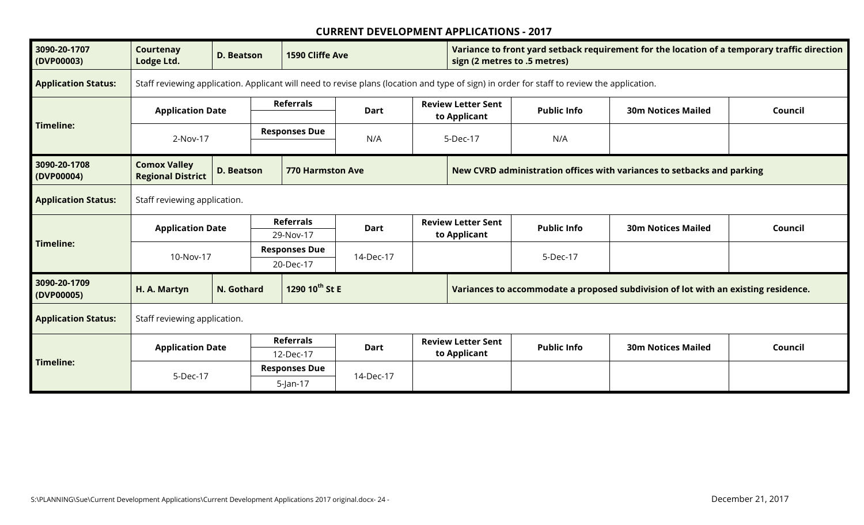| 3090-20-1707<br>(DVP00003) | Courtenay<br>Lodge Ltd.                         | <b>D. Beatson</b>            | 1590 Cliffe Ave                     |                                                                                                   |  | Variance to front yard setback requirement for the location of a temporary traffic direction<br>sign (2 metres to .5 metres) |                                                                                                                                            |                                                                                    |         |  |
|----------------------------|-------------------------------------------------|------------------------------|-------------------------------------|---------------------------------------------------------------------------------------------------|--|------------------------------------------------------------------------------------------------------------------------------|--------------------------------------------------------------------------------------------------------------------------------------------|------------------------------------------------------------------------------------|---------|--|
| <b>Application Status:</b> |                                                 |                              |                                     |                                                                                                   |  |                                                                                                                              | Staff reviewing application. Applicant will need to revise plans (location and type of sign) in order for staff to review the application. |                                                                                    |         |  |
|                            | <b>Application Date</b>                         |                              | <b>Referrals</b>                    | <b>Dart</b>                                                                                       |  | <b>Review Letter Sent</b><br>to Applicant                                                                                    | <b>Public Info</b>                                                                                                                         | <b>30m Notices Mailed</b>                                                          | Council |  |
| Timeline:                  | 2-Nov-17                                        |                              | <b>Responses Due</b>                | N/A<br>5-Dec-17                                                                                   |  |                                                                                                                              | N/A                                                                                                                                        |                                                                                    |         |  |
| 3090-20-1708<br>(DVP00004) | <b>Comox Valley</b><br><b>Regional District</b> | <b>D. Beatson</b>            |                                     | New CVRD administration offices with variances to setbacks and parking<br><b>770 Harmston Ave</b> |  |                                                                                                                              |                                                                                                                                            |                                                                                    |         |  |
| <b>Application Status:</b> |                                                 | Staff reviewing application. |                                     |                                                                                                   |  |                                                                                                                              |                                                                                                                                            |                                                                                    |         |  |
|                            | <b>Application Date</b>                         |                              | <b>Referrals</b><br>29-Nov-17       | <b>Dart</b>                                                                                       |  | <b>Review Letter Sent</b><br>to Applicant                                                                                    | <b>Public Info</b>                                                                                                                         | <b>30m Notices Mailed</b>                                                          | Council |  |
| Timeline:                  | 10-Nov-17                                       |                              | <b>Responses Due</b><br>20-Dec-17   |                                                                                                   |  |                                                                                                                              | 5-Dec-17                                                                                                                                   |                                                                                    |         |  |
| 3090-20-1709<br>(DVP00005) | H. A. Martyn                                    | N. Gothard                   | 1290 10th St E                      |                                                                                                   |  |                                                                                                                              |                                                                                                                                            | Variances to accommodate a proposed subdivision of lot with an existing residence. |         |  |
| <b>Application Status:</b> | Staff reviewing application.                    |                              |                                     |                                                                                                   |  |                                                                                                                              |                                                                                                                                            |                                                                                    |         |  |
|                            | <b>Application Date</b>                         |                              | <b>Referrals</b><br>12-Dec-17       | <b>Dart</b>                                                                                       |  | <b>Review Letter Sent</b><br>to Applicant                                                                                    | <b>Public Info</b>                                                                                                                         | <b>30m Notices Mailed</b>                                                          | Council |  |
| Timeline:                  | 5-Dec-17                                        |                              | <b>Responses Due</b><br>$5$ -Jan-17 | 14-Dec-17                                                                                         |  |                                                                                                                              |                                                                                                                                            |                                                                                    |         |  |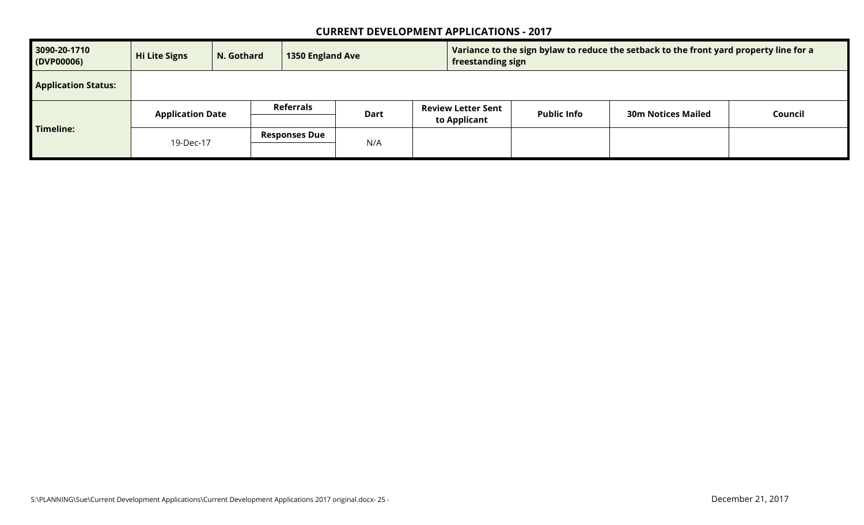| 3090-20-1710<br>(DVP00006) | Hi Lite Signs<br>N. Gothard<br><b>1350 England Ave</b> |  | Variance to the sign bylaw to reduce the setback to the front yard property line for a<br>freestanding sign |      |  |                                           |                    |                           |         |
|----------------------------|--------------------------------------------------------|--|-------------------------------------------------------------------------------------------------------------|------|--|-------------------------------------------|--------------------|---------------------------|---------|
| <b>Application Status:</b> |                                                        |  |                                                                                                             |      |  |                                           |                    |                           |         |
|                            | <b>Application Date</b>                                |  | Referrals                                                                                                   | Dart |  | <b>Review Letter Sent</b><br>to Applicant | <b>Public Info</b> | <b>30m Notices Mailed</b> | Council |
| Timeline:                  | 19-Dec-17                                              |  | <b>Responses Due</b>                                                                                        | N/A  |  |                                           |                    |                           |         |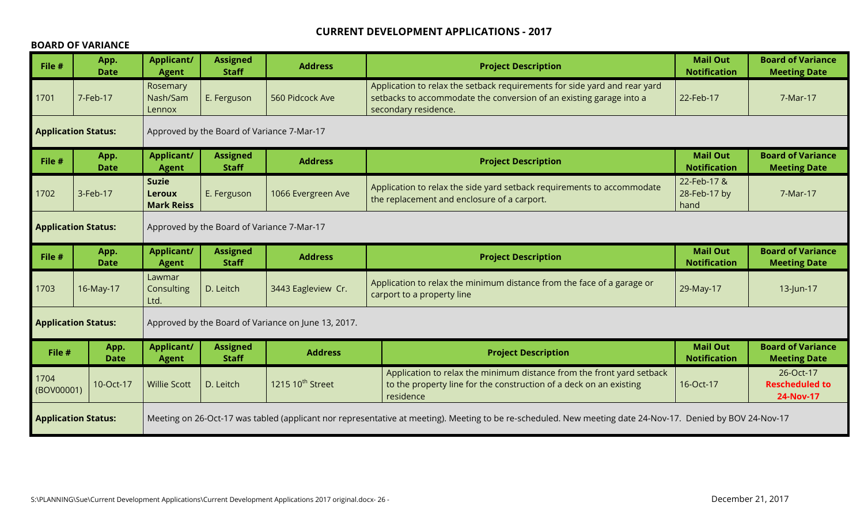#### **BOARD OF VARIANCE**

| File #                                                                                                                                                                                   | App.<br><b>Date</b>        | <b>Applicant/</b><br><b>Agent</b>                  | <b>Assigned</b><br><b>Staff</b>            | <b>Address</b>                                      | <b>Project Description</b>                                                                                                                                                            |                                        | <b>Board of Variance</b><br><b>Meeting Date</b> |  |  |
|------------------------------------------------------------------------------------------------------------------------------------------------------------------------------------------|----------------------------|----------------------------------------------------|--------------------------------------------|-----------------------------------------------------|---------------------------------------------------------------------------------------------------------------------------------------------------------------------------------------|----------------------------------------|-------------------------------------------------|--|--|
| 1701                                                                                                                                                                                     | 7-Feb-17                   | Rosemary<br>Nash/Sam<br>Lennox                     | E. Ferguson                                | 560 Pidcock Ave                                     | Application to relax the setback requirements for side yard and rear yard<br>setbacks to accommodate the conversion of an existing garage into a<br>22-Feb-17<br>secondary residence. |                                        | 7-Mar-17                                        |  |  |
|                                                                                                                                                                                          | <b>Application Status:</b> | Approved by the Board of Variance 7-Mar-17         |                                            |                                                     |                                                                                                                                                                                       |                                        |                                                 |  |  |
| File #                                                                                                                                                                                   | App.<br><b>Date</b>        | <b>Applicant/</b><br><b>Agent</b>                  | <b>Assigned</b><br><b>Staff</b>            | <b>Address</b>                                      | <b>Project Description</b>                                                                                                                                                            | <b>Mail Out</b><br><b>Notification</b> | <b>Board of Variance</b><br><b>Meeting Date</b> |  |  |
| 1702                                                                                                                                                                                     | 3-Feb-17                   | <b>Suzie</b><br><b>Leroux</b><br><b>Mark Reiss</b> | E. Ferguson                                | 1066 Evergreen Ave                                  | 22-Feb-17 &<br>Application to relax the side yard setback requirements to accommodate<br>28-Feb-17 by<br>the replacement and enclosure of a carport.<br>hand                          |                                        | 7-Mar-17                                        |  |  |
|                                                                                                                                                                                          | <b>Application Status:</b> |                                                    | Approved by the Board of Variance 7-Mar-17 |                                                     |                                                                                                                                                                                       |                                        |                                                 |  |  |
| File #                                                                                                                                                                                   | App.<br><b>Date</b>        | <b>Applicant/</b><br><b>Agent</b>                  | <b>Assigned</b><br><b>Staff</b>            | <b>Address</b>                                      | <b>Project Description</b>                                                                                                                                                            | <b>Mail Out</b><br><b>Notification</b> | <b>Board of Variance</b><br><b>Meeting Date</b> |  |  |
| 1703                                                                                                                                                                                     | 16-May-17                  | Lawmar<br>Consulting<br>Ltd.                       | D. Leitch                                  | 3443 Eagleview Cr.                                  | Application to relax the minimum distance from the face of a garage or<br>carport to a property line                                                                                  | 29-May-17                              | 13-Jun-17                                       |  |  |
|                                                                                                                                                                                          | <b>Application Status:</b> |                                                    |                                            | Approved by the Board of Variance on June 13, 2017. |                                                                                                                                                                                       |                                        |                                                 |  |  |
| File #                                                                                                                                                                                   | App.<br><b>Date</b>        | <b>Applicant/</b><br><b>Agent</b>                  | <b>Assigned</b><br><b>Staff</b>            | <b>Address</b>                                      | <b>Project Description</b>                                                                                                                                                            | <b>Mail Out</b><br><b>Notification</b> | <b>Board of Variance</b><br><b>Meeting Date</b> |  |  |
| 1704<br>(BOV00001)                                                                                                                                                                       | 10-Oct-17                  | <b>Willie Scott</b>                                | D. Leitch                                  | 1215 10 <sup>th</sup> Street                        | Application to relax the minimum distance from the front yard setback<br>to the property line for the construction of a deck on an existing<br>residence                              | 16-Oct-17                              | 26-Oct-17<br><b>Rescheduled to</b><br>24-Nov-17 |  |  |
| Meeting on 26-Oct-17 was tabled (applicant nor representative at meeting). Meeting to be re-scheduled. New meeting date 24-Nov-17. Denied by BOV 24-Nov-17<br><b>Application Status:</b> |                            |                                                    |                                            |                                                     |                                                                                                                                                                                       |                                        |                                                 |  |  |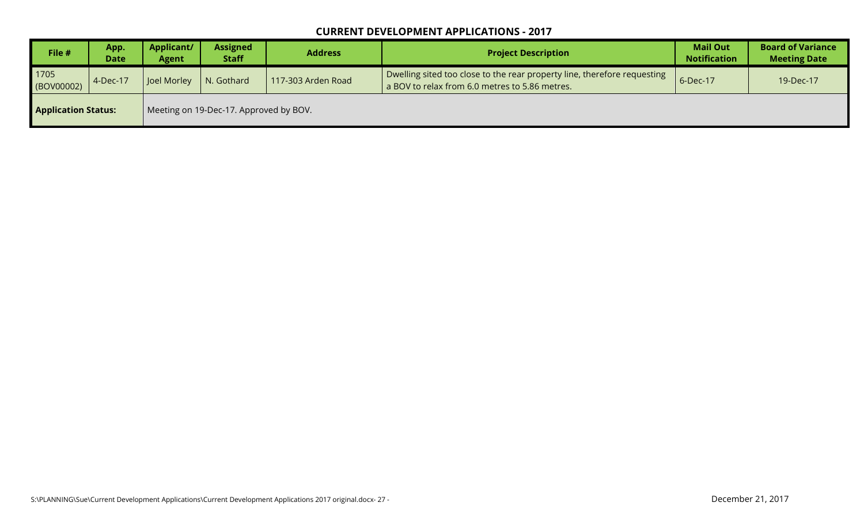| File #                     | App.<br><b>Date</b> | Applicant/<br>Agent | <b>Assigned</b><br><b>Staff</b>        | <b>Address</b>     | <b>Project Description</b>                                                                                                 | <b>Mail Out</b><br><b>Notification</b> | <b>Board of Variance</b><br><b>Meeting Date</b> |
|----------------------------|---------------------|---------------------|----------------------------------------|--------------------|----------------------------------------------------------------------------------------------------------------------------|----------------------------------------|-------------------------------------------------|
| 1705<br>(BOV00002)         | 4-Dec-17            | Joel Morley         | N. Gothard                             | 117-303 Arden Road | Dwelling sited too close to the rear property line, therefore requesting<br>a BOV to relax from 6.0 metres to 5.86 metres. | 6-Dec-17                               | 19-Dec-17                                       |
| <b>Application Status:</b> |                     |                     | Meeting on 19-Dec-17. Approved by BOV. |                    |                                                                                                                            |                                        |                                                 |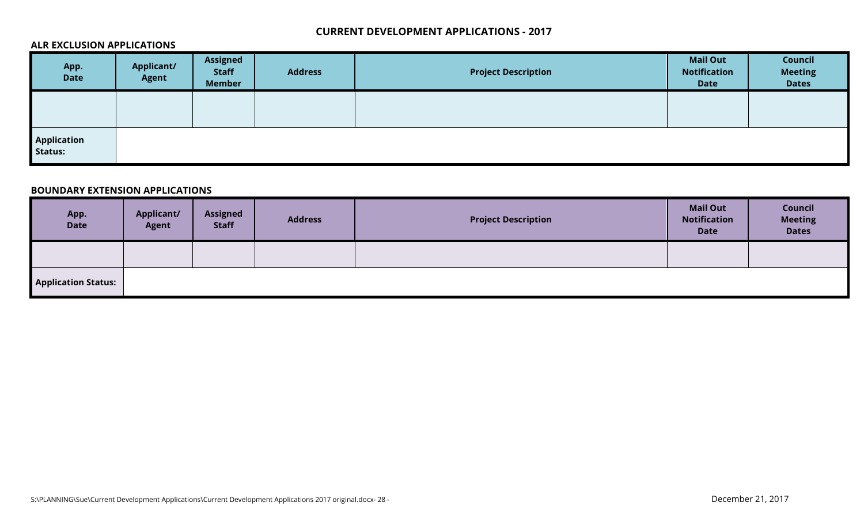#### **ALR EXCLUSION APPLICATIONS**

| App.<br><b>Date</b>           | <b>Applicant/</b><br><b>Agent</b> | <b>Assigned</b><br><b>Staff</b><br><b>Member</b> | <b>Address</b> | <b>Project Description</b> | <b>Mail Out</b><br><b>Notification</b><br><b>Date</b> | Council<br><b>Meeting</b><br><b>Dates</b> |
|-------------------------------|-----------------------------------|--------------------------------------------------|----------------|----------------------------|-------------------------------------------------------|-------------------------------------------|
|                               |                                   |                                                  |                |                            |                                                       |                                           |
| <b>Application</b><br>Status: |                                   |                                                  |                |                            |                                                       |                                           |

#### **BOUNDARY EXTENSION APPLICATIONS**

| App.<br><b>Date</b>        | <b>Applicant/</b><br><b>Agent</b> | <b>Assigned</b><br><b>Staff</b> | <b>Address</b> | <b>Project Description</b> | <b>Mail Out</b><br><b>Notification</b><br><b>Date</b> | Council<br><b>Meeting</b><br><b>Dates</b> |
|----------------------------|-----------------------------------|---------------------------------|----------------|----------------------------|-------------------------------------------------------|-------------------------------------------|
|                            |                                   |                                 |                |                            |                                                       |                                           |
| <b>Application Status:</b> |                                   |                                 |                |                            |                                                       |                                           |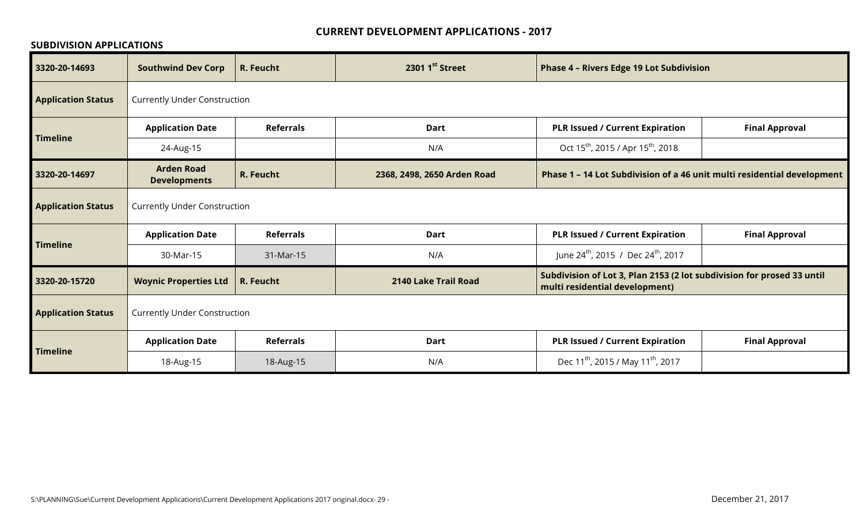#### **SUBDIVISION APPLICATIONS**

| 3320-20-14693             | <b>Southwind Dev Corp</b>                | R. Feucht                           | 2301 1st Street             | <b>Phase 4 - Rivers Edge 19 Lot Subdivision</b>                                                          |                       |  |  |
|---------------------------|------------------------------------------|-------------------------------------|-----------------------------|----------------------------------------------------------------------------------------------------------|-----------------------|--|--|
| <b>Application Status</b> | <b>Currently Under Construction</b>      |                                     |                             |                                                                                                          |                       |  |  |
| <b>Timeline</b>           | <b>Application Date</b>                  | <b>Referrals</b>                    | <b>Dart</b>                 | <b>PLR Issued / Current Expiration</b>                                                                   | <b>Final Approval</b> |  |  |
|                           | 24-Aug-15                                |                                     | N/A                         | Oct 15 <sup>th</sup> , 2015 / Apr 15 <sup>th</sup> , 2018                                                |                       |  |  |
| 3320-20-14697             | <b>Arden Road</b><br><b>Developments</b> | R. Feucht                           | 2368, 2498, 2650 Arden Road | Phase 1 - 14 Lot Subdivision of a 46 unit multi residential development                                  |                       |  |  |
| <b>Application Status</b> | <b>Currently Under Construction</b>      |                                     |                             |                                                                                                          |                       |  |  |
| <b>Timeline</b>           | <b>Application Date</b>                  | <b>Referrals</b>                    | <b>Dart</b>                 | <b>PLR Issued / Current Expiration</b>                                                                   | <b>Final Approval</b> |  |  |
|                           | 30-Mar-15                                | 31-Mar-15                           | N/A                         | June 24 <sup>th</sup> , 2015 / Dec 24 <sup>th</sup> , 2017                                               |                       |  |  |
| 3320-20-15720             | <b>Woynic Properties Ltd</b>             | R. Feucht                           | 2140 Lake Trail Road        | Subdivision of Lot 3, Plan 2153 (2 lot subdivision for prosed 33 until<br>multi residential development) |                       |  |  |
| <b>Application Status</b> |                                          | <b>Currently Under Construction</b> |                             |                                                                                                          |                       |  |  |
| <b>Timeline</b>           | <b>Application Date</b>                  | <b>Referrals</b>                    | <b>Dart</b>                 | <b>PLR Issued / Current Expiration</b>                                                                   | <b>Final Approval</b> |  |  |
|                           | 18-Aug-15                                | 18-Aug-15                           | N/A                         | Dec 11 <sup>th</sup> , 2015 / May 11 <sup>th</sup> , 2017                                                |                       |  |  |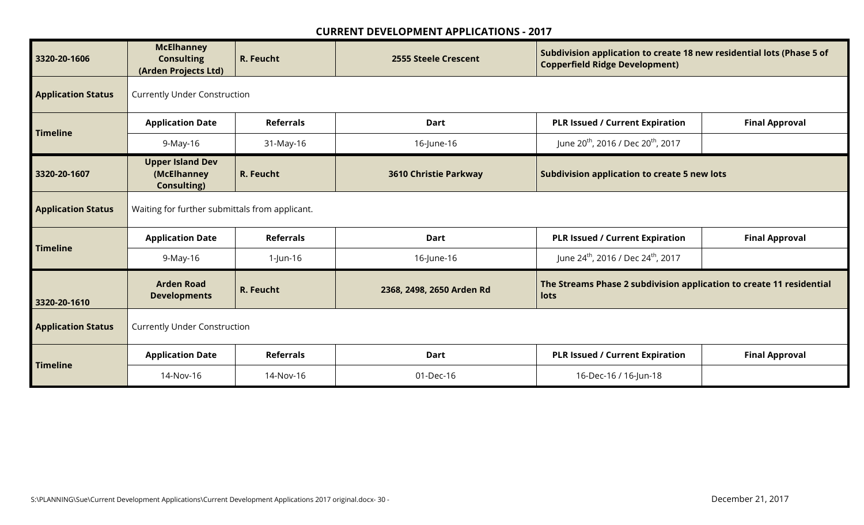| 3320-20-1606              | <b>McElhanney</b><br><b>Consulting</b><br>(Arden Projects Ltd) | R. Feucht                           | <b>2555 Steele Crescent</b>  | Subdivision application to create 18 new residential lots (Phase 5 of<br><b>Copperfield Ridge Development)</b> |                       |  |  |
|---------------------------|----------------------------------------------------------------|-------------------------------------|------------------------------|----------------------------------------------------------------------------------------------------------------|-----------------------|--|--|
| <b>Application Status</b> | <b>Currently Under Construction</b>                            |                                     |                              |                                                                                                                |                       |  |  |
|                           | <b>Application Date</b>                                        | <b>Referrals</b>                    | <b>Dart</b>                  | <b>PLR Issued / Current Expiration</b>                                                                         | <b>Final Approval</b> |  |  |
| <b>Timeline</b>           | 9-May-16                                                       | 31-May-16                           | 16-June-16                   | June 20 <sup>th</sup> , 2016 / Dec 20 <sup>th</sup> , 2017                                                     |                       |  |  |
| 3320-20-1607              | <b>Upper Island Dev</b><br>(McElhanney<br><b>Consulting)</b>   | R. Feucht                           | <b>3610 Christie Parkway</b> | <b>Subdivision application to create 5 new lots</b>                                                            |                       |  |  |
| <b>Application Status</b> | Waiting for further submittals from applicant.                 |                                     |                              |                                                                                                                |                       |  |  |
| <b>Timeline</b>           | <b>Application Date</b>                                        | <b>Referrals</b>                    | <b>Dart</b>                  | <b>PLR Issued / Current Expiration</b>                                                                         | <b>Final Approval</b> |  |  |
|                           | 9-May-16                                                       | 1-Jun-16                            | 16-June-16                   | June 24 <sup>th</sup> , 2016 / Dec 24 <sup>th</sup> , 2017                                                     |                       |  |  |
| 3320-20-1610              | <b>Arden Road</b><br><b>Developments</b>                       | R. Feucht                           | 2368, 2498, 2650 Arden Rd    | The Streams Phase 2 subdivision application to create 11 residential<br>lots                                   |                       |  |  |
| <b>Application Status</b> |                                                                | <b>Currently Under Construction</b> |                              |                                                                                                                |                       |  |  |
| <b>Timeline</b>           | <b>Application Date</b>                                        | <b>Referrals</b>                    | <b>Dart</b>                  | <b>PLR Issued / Current Expiration</b>                                                                         | <b>Final Approval</b> |  |  |
|                           | 14-Nov-16                                                      | 14-Nov-16                           | 01-Dec-16                    | 16-Dec-16 / 16-Jun-18                                                                                          |                       |  |  |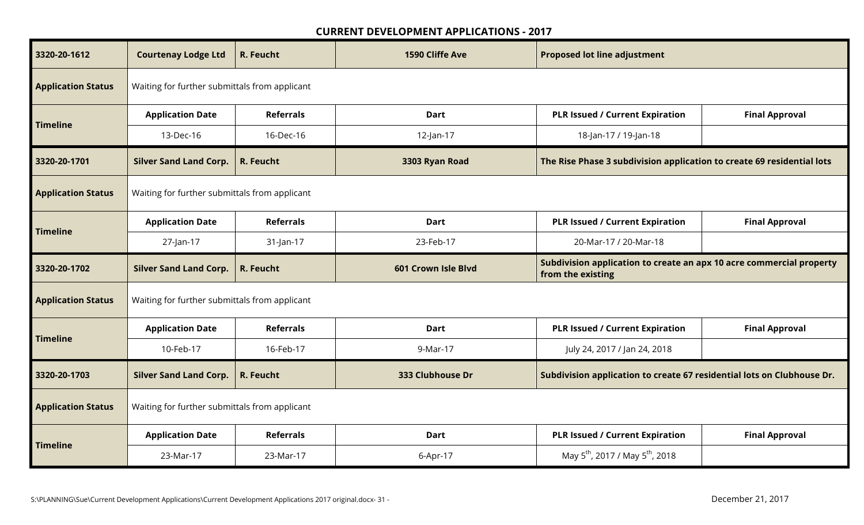| 3320-20-1612              | <b>Courtenay Lodge Ltd</b>                    | R. Feucht        | 1590 Cliffe Ave     | <b>Proposed lot line adjustment</b>                                                       |                       |  |  |
|---------------------------|-----------------------------------------------|------------------|---------------------|-------------------------------------------------------------------------------------------|-----------------------|--|--|
| <b>Application Status</b> | Waiting for further submittals from applicant |                  |                     |                                                                                           |                       |  |  |
|                           | <b>Application Date</b>                       | <b>Referrals</b> | <b>Dart</b>         | <b>PLR Issued / Current Expiration</b>                                                    | <b>Final Approval</b> |  |  |
| <b>Timeline</b>           | 13-Dec-16                                     | 16-Dec-16        | $12$ -Jan-17        | 18-Jan-17 / 19-Jan-18                                                                     |                       |  |  |
| 3320-20-1701              | <b>Silver Sand Land Corp.</b>                 | R. Feucht        | 3303 Ryan Road      | The Rise Phase 3 subdivision application to create 69 residential lots                    |                       |  |  |
| <b>Application Status</b> | Waiting for further submittals from applicant |                  |                     |                                                                                           |                       |  |  |
|                           | <b>Application Date</b>                       | <b>Referrals</b> | <b>Dart</b>         | <b>PLR Issued / Current Expiration</b>                                                    | <b>Final Approval</b> |  |  |
| <b>Timeline</b>           | 27-Jan-17                                     | 31-Jan-17        | 23-Feb-17           | 20-Mar-17 / 20-Mar-18                                                                     |                       |  |  |
|                           |                                               |                  |                     |                                                                                           |                       |  |  |
| 3320-20-1702              | <b>Silver Sand Land Corp.</b>                 | R. Feucht        | 601 Crown Isle Blvd | Subdivision application to create an apx 10 acre commercial property<br>from the existing |                       |  |  |
| <b>Application Status</b> | Waiting for further submittals from applicant |                  |                     |                                                                                           |                       |  |  |
|                           | <b>Application Date</b>                       | <b>Referrals</b> | <b>Dart</b>         | <b>PLR Issued / Current Expiration</b>                                                    | <b>Final Approval</b> |  |  |
| <b>Timeline</b>           | 10-Feb-17                                     | 16-Feb-17        | 9-Mar-17            | July 24, 2017 / Jan 24, 2018                                                              |                       |  |  |
| 3320-20-1703              | <b>Silver Sand Land Corp.</b>                 | R. Feucht        | 333 Clubhouse Dr    | Subdivision application to create 67 residential lots on Clubhouse Dr.                    |                       |  |  |
| <b>Application Status</b> | Waiting for further submittals from applicant |                  |                     |                                                                                           |                       |  |  |
| <b>Timeline</b>           | <b>Application Date</b>                       | <b>Referrals</b> | <b>Dart</b>         | <b>PLR Issued / Current Expiration</b>                                                    | <b>Final Approval</b> |  |  |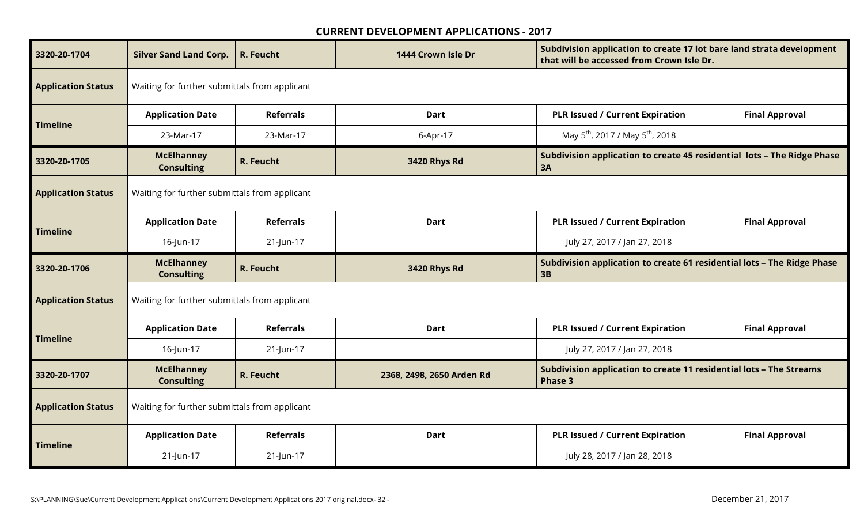| 3320-20-1704              | <b>Silver Sand Land Corp.</b>                 | R. Feucht        | 1444 Crown Isle Dr        | Subdivision application to create 17 lot bare land strata development<br>that will be accessed from Crown Isle Dr. |                       |  |  |
|---------------------------|-----------------------------------------------|------------------|---------------------------|--------------------------------------------------------------------------------------------------------------------|-----------------------|--|--|
| <b>Application Status</b> | Waiting for further submittals from applicant |                  |                           |                                                                                                                    |                       |  |  |
| <b>Timeline</b>           | <b>Application Date</b>                       | <b>Referrals</b> | <b>Dart</b>               | <b>PLR Issued / Current Expiration</b>                                                                             | <b>Final Approval</b> |  |  |
|                           | 23-Mar-17                                     | 23-Mar-17        | 6-Apr-17                  | May 5 <sup>th</sup> , 2017 / May 5 <sup>th</sup> , 2018                                                            |                       |  |  |
| 3320-20-1705              | <b>McElhanney</b><br><b>Consulting</b>        | R. Feucht        | 3420 Rhys Rd              | Subdivision application to create 45 residential lots - The Ridge Phase<br>3A                                      |                       |  |  |
| <b>Application Status</b> | Waiting for further submittals from applicant |                  |                           |                                                                                                                    |                       |  |  |
|                           | <b>Application Date</b>                       | <b>Referrals</b> | <b>Dart</b>               | <b>PLR Issued / Current Expiration</b>                                                                             | <b>Final Approval</b> |  |  |
| <b>Timeline</b>           | 16-Jun-17                                     | 21-Jun-17        |                           | July 27, 2017 / Jan 27, 2018                                                                                       |                       |  |  |
|                           |                                               |                  |                           |                                                                                                                    |                       |  |  |
| 3320-20-1706              | <b>McElhanney</b><br><b>Consulting</b>        | R. Feucht        | 3420 Rhys Rd              | Subdivision application to create 61 residential lots - The Ridge Phase<br>3B                                      |                       |  |  |
| <b>Application Status</b> | Waiting for further submittals from applicant |                  |                           |                                                                                                                    |                       |  |  |
|                           | <b>Application Date</b>                       | <b>Referrals</b> | Dart                      | <b>PLR Issued / Current Expiration</b>                                                                             | <b>Final Approval</b> |  |  |
| <b>Timeline</b>           | 16-Jun-17                                     | 21-Jun-17        |                           | July 27, 2017 / Jan 27, 2018                                                                                       |                       |  |  |
| 3320-20-1707              | <b>McElhanney</b><br><b>Consulting</b>        | R. Feucht        | 2368, 2498, 2650 Arden Rd | Subdivision application to create 11 residential lots - The Streams<br><b>Phase 3</b>                              |                       |  |  |
| <b>Application Status</b> | Waiting for further submittals from applicant |                  |                           |                                                                                                                    |                       |  |  |
| <b>Timeline</b>           | <b>Application Date</b>                       | <b>Referrals</b> | <b>Dart</b>               | <b>PLR Issued / Current Expiration</b>                                                                             | <b>Final Approval</b> |  |  |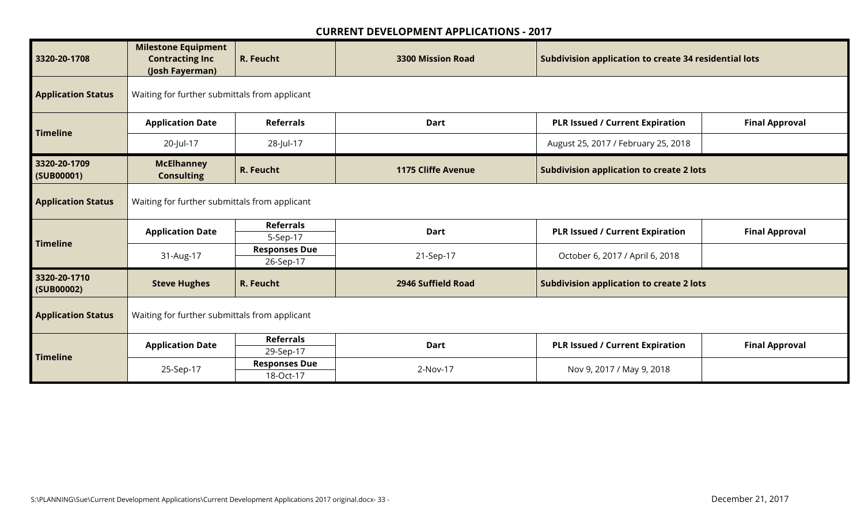| 3320-20-1708               | <b>Milestone Equipment</b><br><b>Contracting Inc</b><br>(Josh Fayerman) | R. Feucht                         | <b>3300 Mission Road</b>  | Subdivision application to create 34 residential lots |                       |  |  |
|----------------------------|-------------------------------------------------------------------------|-----------------------------------|---------------------------|-------------------------------------------------------|-----------------------|--|--|
| <b>Application Status</b>  | Waiting for further submittals from applicant                           |                                   |                           |                                                       |                       |  |  |
| <b>Timeline</b>            | <b>Application Date</b>                                                 | <b>Referrals</b>                  | <b>Dart</b>               | <b>PLR Issued / Current Expiration</b>                | <b>Final Approval</b> |  |  |
|                            | 20-Jul-17                                                               | 28-Jul-17                         |                           | August 25, 2017 / February 25, 2018                   |                       |  |  |
| 3320-20-1709<br>(SUB00001) | <b>McElhanney</b><br><b>Consulting</b>                                  | R. Feucht                         | <b>1175 Cliffe Avenue</b> | <b>Subdivision application to create 2 lots</b>       |                       |  |  |
| <b>Application Status</b>  | Waiting for further submittals from applicant                           |                                   |                           |                                                       |                       |  |  |
|                            | <b>Application Date</b>                                                 | <b>Referrals</b><br>5-Sep-17      | <b>Dart</b>               | <b>PLR Issued / Current Expiration</b>                | <b>Final Approval</b> |  |  |
| <b>Timeline</b>            | 31-Aug-17                                                               | <b>Responses Due</b><br>26-Sep-17 | 21-Sep-17                 | October 6, 2017 / April 6, 2018                       |                       |  |  |
| 3320-20-1710<br>(SUB00002) | <b>Steve Hughes</b>                                                     | R. Feucht                         | 2946 Suffield Road        | <b>Subdivision application to create 2 lots</b>       |                       |  |  |
| <b>Application Status</b>  | Waiting for further submittals from applicant                           |                                   |                           |                                                       |                       |  |  |
|                            | <b>Application Date</b>                                                 | <b>Referrals</b><br>29-Sep-17     | <b>Dart</b>               | <b>PLR Issued / Current Expiration</b>                | <b>Final Approval</b> |  |  |
| <b>Timeline</b>            | 25-Sep-17                                                               | <b>Responses Due</b><br>18-Oct-17 | 2-Nov-17                  | Nov 9, 2017 / May 9, 2018                             |                       |  |  |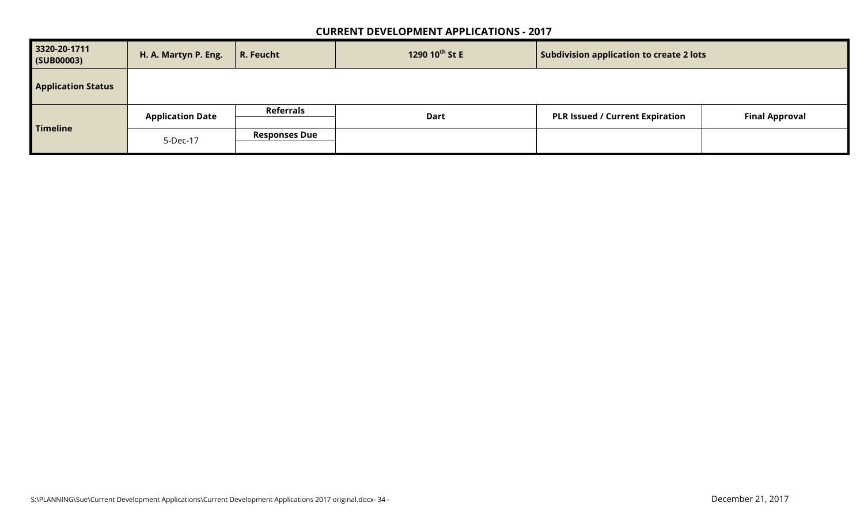| 3320-20-1711<br>(SUB00003) | H. A. Martyn P. Eng.    | 1290 10 <sup>th</sup> St E<br>$\vert$ R. Feucht<br><b>Subdivision application to create 2 lots</b> |             |                                        |                       |  |
|----------------------------|-------------------------|----------------------------------------------------------------------------------------------------|-------------|----------------------------------------|-----------------------|--|
| <b>Application Status</b>  |                         |                                                                                                    |             |                                        |                       |  |
|                            | <b>Application Date</b> | <b>Referrals</b>                                                                                   | <b>Dart</b> | <b>PLR Issued / Current Expiration</b> | <b>Final Approval</b> |  |
| <b>Timeline</b>            |                         |                                                                                                    |             |                                        |                       |  |
|                            |                         | <b>Responses Due</b>                                                                               |             |                                        |                       |  |
|                            | 5-Dec-17                |                                                                                                    |             |                                        |                       |  |